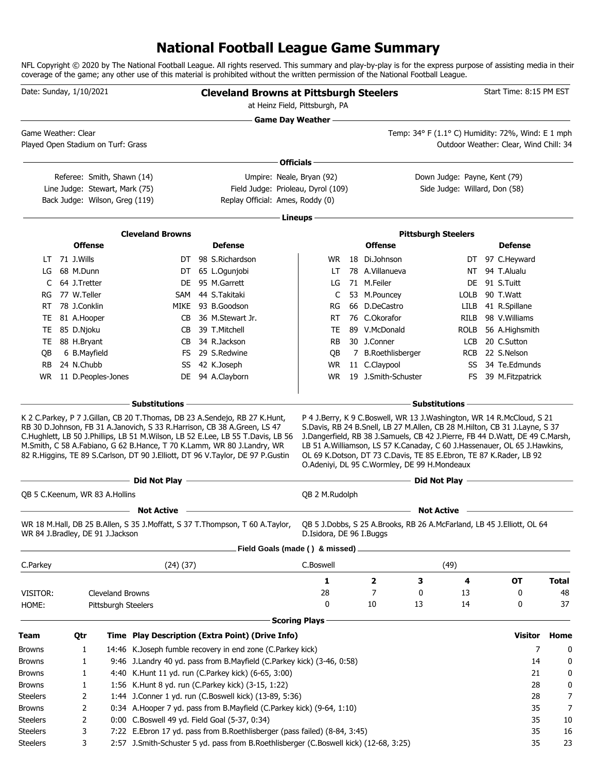### **National Football League Game Summary**

NFL Copyright © 2020 by The National Football League. All rights reserved. This summary and play-by-play is for the express purpose of assisting media in their coverage of the game; any other use of this material is prohibited without the written permission of the National Football League.

| Date: Sunday, 1/10/2021             |                                                                                                                                                                         |                |                                |                                               |  | <b>Cleveland Browns at Pittsburgh Steelers</b><br>at Heinz Field, Pittsburgh, PA                                                                                                                                                            |                           | Start Time: 8:15 PM EST                                                                                                                                                                                                                                                            |                                                                                                                                                                                                                                     |                                        |              |
|-------------------------------------|-------------------------------------------------------------------------------------------------------------------------------------------------------------------------|----------------|--------------------------------|-----------------------------------------------|--|---------------------------------------------------------------------------------------------------------------------------------------------------------------------------------------------------------------------------------------------|---------------------------|------------------------------------------------------------------------------------------------------------------------------------------------------------------------------------------------------------------------------------------------------------------------------------|-------------------------------------------------------------------------------------------------------------------------------------------------------------------------------------------------------------------------------------|----------------------------------------|--------------|
|                                     |                                                                                                                                                                         |                |                                |                                               |  |                                                                                                                                                                                                                                             | <b>Game Day Weather —</b> |                                                                                                                                                                                                                                                                                    |                                                                                                                                                                                                                                     |                                        |              |
| Game Weather: Clear                 |                                                                                                                                                                         |                |                                |                                               |  |                                                                                                                                                                                                                                             |                           |                                                                                                                                                                                                                                                                                    | Temp: 34° F (1.1° C) Humidity: 72%, Wind: E 1 mph                                                                                                                                                                                   |                                        |              |
| Played Open Stadium on Turf: Grass  |                                                                                                                                                                         |                |                                |                                               |  |                                                                                                                                                                                                                                             |                           |                                                                                                                                                                                                                                                                                    |                                                                                                                                                                                                                                     | Outdoor Weather: Clear, Wind Chill: 34 |              |
|                                     |                                                                                                                                                                         |                |                                |                                               |  |                                                                                                                                                                                                                                             | ∙ Officials −             |                                                                                                                                                                                                                                                                                    |                                                                                                                                                                                                                                     |                                        |              |
|                                     |                                                                                                                                                                         |                | Referee: Smith, Shawn (14)     |                                               |  | Umpire: Neale, Bryan (92)                                                                                                                                                                                                                   |                           |                                                                                                                                                                                                                                                                                    | Down Judge: Payne, Kent (79)                                                                                                                                                                                                        |                                        |              |
|                                     |                                                                                                                                                                         |                | Line Judge: Stewart, Mark (75) |                                               |  | Field Judge: Prioleau, Dyrol (109)                                                                                                                                                                                                          |                           |                                                                                                                                                                                                                                                                                    | Side Judge: Willard, Don (58)                                                                                                                                                                                                       |                                        |              |
|                                     |                                                                                                                                                                         |                | Back Judge: Wilson, Greg (119) |                                               |  | Replay Official: Ames, Roddy (0)                                                                                                                                                                                                            |                           |                                                                                                                                                                                                                                                                                    |                                                                                                                                                                                                                                     |                                        |              |
|                                     |                                                                                                                                                                         |                |                                |                                               |  |                                                                                                                                                                                                                                             | Lineups -                 |                                                                                                                                                                                                                                                                                    |                                                                                                                                                                                                                                     |                                        |              |
|                                     |                                                                                                                                                                         |                |                                | <b>Cleveland Browns</b>                       |  |                                                                                                                                                                                                                                             |                           |                                                                                                                                                                                                                                                                                    | <b>Pittsburgh Steelers</b>                                                                                                                                                                                                          |                                        |              |
|                                     |                                                                                                                                                                         | <b>Offense</b> |                                |                                               |  | <b>Defense</b>                                                                                                                                                                                                                              |                           | <b>Offense</b>                                                                                                                                                                                                                                                                     |                                                                                                                                                                                                                                     | <b>Defense</b>                         |              |
| LT.                                 |                                                                                                                                                                         | 71 J.Wills     |                                |                                               |  | DT 98 S.Richardson                                                                                                                                                                                                                          | WR.                       | 18 Di.Johnson                                                                                                                                                                                                                                                                      |                                                                                                                                                                                                                                     | DT 97 C.Heyward                        |              |
| LG                                  |                                                                                                                                                                         | 68 M.Dunn      |                                |                                               |  | DT 65 L.Ogunjobi                                                                                                                                                                                                                            | LT                        | 78 A.Villanueva                                                                                                                                                                                                                                                                    | NT.                                                                                                                                                                                                                                 | 94 T.Alualu                            |              |
| C                                   |                                                                                                                                                                         | 64 J.Tretter   |                                | DE                                            |  | 95 M.Garrett                                                                                                                                                                                                                                | LG                        | 71 M.Feiler                                                                                                                                                                                                                                                                        | DE.                                                                                                                                                                                                                                 | 91 S.Tuitt                             |              |
| RG                                  |                                                                                                                                                                         | 77 W.Teller    |                                | SAM                                           |  | 44 S.Takitaki                                                                                                                                                                                                                               | C                         | 53 M.Pouncey                                                                                                                                                                                                                                                                       | <b>LOLB</b>                                                                                                                                                                                                                         | 90 T.Watt                              |              |
| RT                                  |                                                                                                                                                                         | 78 J.Conklin   |                                | MIKE                                          |  | 93 B.Goodson                                                                                                                                                                                                                                | RG                        | 66 D.DeCastro                                                                                                                                                                                                                                                                      | LILB                                                                                                                                                                                                                                | 41 R.Spillane                          |              |
| TE                                  |                                                                                                                                                                         | 81 A.Hooper    |                                | СB                                            |  | 36 M.Stewart Jr.                                                                                                                                                                                                                            | RT                        | 76 C.Okorafor                                                                                                                                                                                                                                                                      | RILB                                                                                                                                                                                                                                | 98 V. Williams                         |              |
| TE                                  |                                                                                                                                                                         | 85 D.Njoku     |                                | CB                                            |  | 39 T.Mitchell                                                                                                                                                                                                                               | TE                        | 89 V.McDonald                                                                                                                                                                                                                                                                      | rolb                                                                                                                                                                                                                                | 56 A.Highsmith                         |              |
| TE                                  |                                                                                                                                                                         | 88 H.Bryant    |                                | CB                                            |  | 34 R.Jackson                                                                                                                                                                                                                                | <b>RB</b>                 | 30 J.Conner                                                                                                                                                                                                                                                                        | <b>LCB</b>                                                                                                                                                                                                                          | 20 C.Sutton                            |              |
| QB                                  |                                                                                                                                                                         | 6 B.Mayfield   |                                | FS                                            |  | 29 S.Redwine                                                                                                                                                                                                                                | QB                        | 7 B.Roethlisberger                                                                                                                                                                                                                                                                 | <b>RCB</b>                                                                                                                                                                                                                          | 22 S.Nelson                            |              |
| <b>RB</b>                           |                                                                                                                                                                         | 24 N.Chubb     |                                | SS                                            |  | 42 K.Joseph                                                                                                                                                                                                                                 | <b>WR</b>                 | 11 C.Claypool                                                                                                                                                                                                                                                                      | SS                                                                                                                                                                                                                                  | 34 Te.Edmunds                          |              |
| WR.                                 |                                                                                                                                                                         |                | 11 D.Peoples-Jones             |                                               |  | DE 94 A.Clayborn                                                                                                                                                                                                                            | <b>WR</b>                 | 19 J.Smith-Schuster                                                                                                                                                                                                                                                                | FS.                                                                                                                                                                                                                                 | 39 M.Fitzpatrick                       |              |
|                                     |                                                                                                                                                                         |                |                                |                                               |  |                                                                                                                                                                                                                                             |                           |                                                                                                                                                                                                                                                                                    |                                                                                                                                                                                                                                     |                                        |              |
|                                     |                                                                                                                                                                         |                |                                |                                               |  | C.Hughlett, LB 50 J.Phillips, LB 51 M.Wilson, LB 52 E.Lee, LB 55 T.Davis, LB 56<br>M.Smith, C 58 A.Fabiano, G 62 B.Hance, T 70 K.Lamm, WR 80 J.Landry, WR<br>82 R.Higgins, TE 89 S.Carlson, DT 90 J.Elliott, DT 96 V.Taylor, DE 97 P.Gustin |                           | J.Dangerfield, RB 38 J.Samuels, CB 42 J.Pierre, FB 44 D.Watt, DE 49 C.Marsh,<br>LB 51 A. Williamson, LS 57 K. Canaday, C 60 J. Hassenauer, OL 65 J. Hawkins,<br>OL 69 K.Dotson, DT 73 C.Davis, TE 85 E.Ebron, TE 87 K.Rader, LB 92<br>O.Adeniyi, DL 95 C.Wormley, DE 99 H.Mondeaux |                                                                                                                                                                                                                                     |                                        |              |
|                                     |                                                                                                                                                                         |                |                                | <b>Example 2</b> Did Not Play -               |  | <u> 1989 - Johann Stoff, deutscher Stoff, der Stoff, der Stoff, der Stoff, der Stoff, der Stoff, der Stoff, der S</u>                                                                                                                       |                           |                                                                                                                                                                                                                                                                                    | Did Not Play <u>- and the state of</u> the state of the state of the state of the state of the state of the state of the state of the state of the state of the state of the state of the state of the state of the state of the st |                                        |              |
| QB 5 C.Keenum, WR 83 A.Hollins      |                                                                                                                                                                         |                |                                |                                               |  |                                                                                                                                                                                                                                             | QB 2 M.Rudolph            |                                                                                                                                                                                                                                                                                    |                                                                                                                                                                                                                                     |                                        |              |
|                                     |                                                                                                                                                                         |                |                                | <b>Not Active</b>                             |  |                                                                                                                                                                                                                                             |                           |                                                                                                                                                                                                                                                                                    | <b>Not Active</b>                                                                                                                                                                                                                   |                                        |              |
| WR 84 J.Bradley, DE 91 J.Jackson    |                                                                                                                                                                         |                |                                |                                               |  | WR 18 M.Hall, DB 25 B.Allen, S 35 J.Moffatt, S 37 T.Thompson, T 60 A.Taylor,                                                                                                                                                                | D.Isidora, DE 96 I.Buggs  | QB 5 J.Dobbs, S 25 A.Brooks, RB 26 A.McFarland, LB 45 J.Elliott, OL 64                                                                                                                                                                                                             |                                                                                                                                                                                                                                     |                                        |              |
|                                     |                                                                                                                                                                         |                |                                |                                               |  | Field Goals (made () & missed).                                                                                                                                                                                                             |                           |                                                                                                                                                                                                                                                                                    |                                                                                                                                                                                                                                     |                                        |              |
| C.Parkey                            |                                                                                                                                                                         |                |                                | (24)(37)                                      |  |                                                                                                                                                                                                                                             | C.Boswell                 |                                                                                                                                                                                                                                                                                    | (49)                                                                                                                                                                                                                                |                                        |              |
|                                     |                                                                                                                                                                         |                |                                |                                               |  |                                                                                                                                                                                                                                             | 1                         | 2<br>З                                                                                                                                                                                                                                                                             | 4                                                                                                                                                                                                                                   | <b>OT</b>                              | <b>Total</b> |
| VISITOR:                            |                                                                                                                                                                         |                | Cleveland Browns               |                                               |  |                                                                                                                                                                                                                                             | 28                        | 7<br>0                                                                                                                                                                                                                                                                             | 13                                                                                                                                                                                                                                  | 0                                      | 48           |
| HOME:<br><b>Pittsburgh Steelers</b> |                                                                                                                                                                         |                |                                |                                               |  |                                                                                                                                                                                                                                             | 0                         | 10<br>13                                                                                                                                                                                                                                                                           | 14                                                                                                                                                                                                                                  | 0                                      | 37           |
|                                     |                                                                                                                                                                         |                |                                |                                               |  |                                                                                                                                                                                                                                             | <b>Scoring Plays</b>      |                                                                                                                                                                                                                                                                                    |                                                                                                                                                                                                                                     |                                        |              |
|                                     |                                                                                                                                                                         |                |                                |                                               |  |                                                                                                                                                                                                                                             |                           |                                                                                                                                                                                                                                                                                    |                                                                                                                                                                                                                                     |                                        |              |
| Team                                |                                                                                                                                                                         | Qtr            |                                |                                               |  | Time Play Description (Extra Point) (Drive Info)                                                                                                                                                                                            |                           |                                                                                                                                                                                                                                                                                    |                                                                                                                                                                                                                                     | Visitor                                | Home         |
| Browns                              |                                                                                                                                                                         | 1              |                                |                                               |  | 14:46 K.Joseph fumble recovery in end zone (C.Parkey kick)                                                                                                                                                                                  |                           |                                                                                                                                                                                                                                                                                    |                                                                                                                                                                                                                                     | 7                                      | 0            |
| Browns                              |                                                                                                                                                                         | 1              |                                |                                               |  | 9:46 J.Landry 40 yd. pass from B.Mayfield (C.Parkey kick) (3-46, 0:58)                                                                                                                                                                      |                           |                                                                                                                                                                                                                                                                                    |                                                                                                                                                                                                                                     | 14                                     | 0            |
| <b>Browns</b>                       |                                                                                                                                                                         | 1              |                                |                                               |  | 4:40 K.Hunt 11 yd. run (C.Parkey kick) (6-65, 3:00)                                                                                                                                                                                         |                           |                                                                                                                                                                                                                                                                                    |                                                                                                                                                                                                                                     | 21                                     | 0            |
| Browns                              |                                                                                                                                                                         | 1              |                                |                                               |  | 1:56 K.Hunt 8 yd. run (C.Parkey kick) (3-15, 1:22)                                                                                                                                                                                          |                           |                                                                                                                                                                                                                                                                                    |                                                                                                                                                                                                                                     | 28                                     | 0            |
| Steelers                            |                                                                                                                                                                         | 2              |                                |                                               |  | 1:44 J.Conner 1 yd. run (C.Boswell kick) (13-89, 5:36)                                                                                                                                                                                      |                           |                                                                                                                                                                                                                                                                                    |                                                                                                                                                                                                                                     | 28                                     | 7            |
| <b>Browns</b>                       |                                                                                                                                                                         | 2              |                                |                                               |  | 0:34 A.Hooper 7 yd. pass from B.Mayfield (C.Parkey kick) (9-64, 1:10)                                                                                                                                                                       |                           |                                                                                                                                                                                                                                                                                    |                                                                                                                                                                                                                                     | 35                                     | 7            |
| <b>Steelers</b>                     |                                                                                                                                                                         | 2              |                                | 0:00 C.Boswell 49 yd. Field Goal (5-37, 0:34) |  |                                                                                                                                                                                                                                             |                           |                                                                                                                                                                                                                                                                                    |                                                                                                                                                                                                                                     | 35                                     | 10           |
| <b>Steelers</b>                     | 7:22 E.Ebron 17 yd. pass from B.Roethlisberger (pass failed) (8-84, 3:45)<br>3<br>2:57 J.Smith-Schuster 5 yd. pass from B.Roethlisberger (C.Boswell kick) (12-68, 3:25) |                |                                |                                               |  |                                                                                                                                                                                                                                             |                           |                                                                                                                                                                                                                                                                                    |                                                                                                                                                                                                                                     | 35<br>35                               | 16           |
| <b>Steelers</b>                     |                                                                                                                                                                         | 3              |                                |                                               |  |                                                                                                                                                                                                                                             |                           |                                                                                                                                                                                                                                                                                    |                                                                                                                                                                                                                                     |                                        | 23           |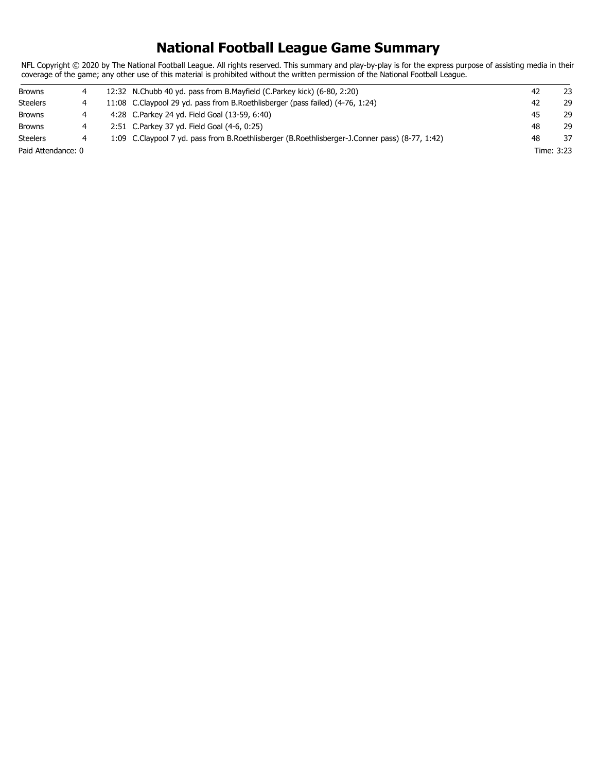### **National Football League Game Summary**

NFL Copyright © 2020 by The National Football League. All rights reserved. This summary and play-by-play is for the express purpose of assisting media in their coverage of the game; any other use of this material is prohibited without the written permission of the National Football League.

| <b>Browns</b>      |  | 12:32 N.Chubb 40 yd. pass from B.Mayfield (C.Parkey kick) (6-80, 2:20)                         | 42 | 23         |
|--------------------|--|------------------------------------------------------------------------------------------------|----|------------|
| <b>Steelers</b>    |  | 11:08 C.Claypool 29 yd. pass from B.Roethlisberger (pass failed) (4-76, 1:24)                  | 42 | 29         |
| <b>Browns</b>      |  | 4:28 C.Parkey 24 yd. Field Goal (13-59, 6:40)                                                  | 45 | 29         |
| <b>Browns</b>      |  | 2:51 C.Parkey 37 yd. Field Goal (4-6, 0:25)                                                    | 48 | 29         |
| <b>Steelers</b>    |  | 1:09 C.Claypool 7 yd. pass from B.Roethlisberger (B.Roethlisberger-J.Conner pass) (8-77, 1:42) | 48 | 37         |
| Paid Attendance: 0 |  |                                                                                                |    | Time: 3:23 |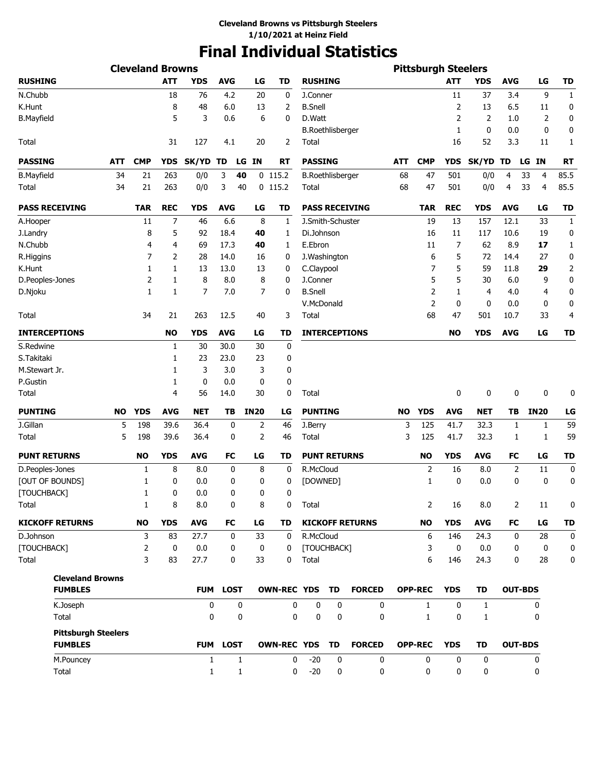# **Final Individual Statistics**

|                                              |           | <b>Cleveland Browns</b> |            |              |                 |             |                       |                         |                         |                        |            | <b>Pittsburgh Steelers</b> |             |            |                |                      |                |
|----------------------------------------------|-----------|-------------------------|------------|--------------|-----------------|-------------|-----------------------|-------------------------|-------------------------|------------------------|------------|----------------------------|-------------|------------|----------------|----------------------|----------------|
| <b>RUSHING</b>                               |           |                         | <b>ATT</b> | <b>YDS</b>   | <b>AVG</b>      | LG          | TD                    | <b>RUSHING</b>          |                         |                        |            |                            | <b>ATT</b>  | <b>YDS</b> | <b>AVG</b>     | LG                   | TD             |
| N.Chubb                                      |           |                         | 18         | 76           | 4.2             | 20          | 0                     | J.Conner                |                         |                        |            |                            | 11          | 37         | 3.4            | 9                    | $\mathbf{1}$   |
| K.Hunt                                       |           |                         | 8          | 48           | 6.0             | 13          | 2                     | <b>B.Snell</b>          |                         |                        |            |                            | 2           | 13         | 6.5            | 11                   | 0              |
| <b>B.Mayfield</b>                            |           |                         | 5          | 3            | 0.6             | 6           | 0                     | D.Watt                  |                         |                        |            |                            | 2           | 2          | 1.0            | 2                    | 0              |
|                                              |           |                         |            |              |                 |             |                       |                         | <b>B.Roethlisberger</b> |                        |            |                            | 1           | 0          | 0.0            | 0                    | 0              |
| <b>Total</b>                                 |           |                         | 31         | 127          | 4.1             | 20          | 2                     | Total                   |                         |                        |            |                            | 16          | 52         | 3.3            | 11                   | 1              |
| <b>PASSING</b>                               | ATT       | <b>CMP</b>              | YDS        | <b>SK/YD</b> | TD              | LG<br>IN    | RT                    | <b>PASSING</b>          |                         |                        | <b>ATT</b> | <b>CMP</b>                 | <b>YDS</b>  | SK/YD TD   |                | <b>IN</b><br>LG      | <b>RT</b>      |
| <b>B.Mayfield</b>                            | 34        | 21                      | 263        | 0/0          | 3               | 40          | $0$ 115.2             | <b>B.Roethlisberger</b> |                         |                        | 68         | 47                         | 501         | 0/0        | 4              | 33<br>$\overline{4}$ | 85.5           |
| <b>Total</b>                                 | 34        | 21                      | 263        | 0/0          | 3               | 40          | $0$ 115.2             | Total                   |                         |                        | 68         | 47                         | 501         | 0/0        | 4              | 33<br>$\overline{4}$ | 85.5           |
| <b>PASS RECEIVING</b>                        |           | <b>TAR</b>              | <b>REC</b> | <b>YDS</b>   | AVG             | LG          | TD                    |                         |                         | <b>PASS RECEIVING</b>  |            | TAR                        | <b>REC</b>  | <b>YDS</b> | <b>AVG</b>     | LG                   | <b>TD</b>      |
| A.Hooper                                     |           | 11                      | 7          | 46           | 6.6             | 8           | 1                     | J.Smith-Schuster        |                         |                        |            | 19                         | 13          | 157        | 12.1           | 33                   | $\mathbf{1}$   |
| J.Landry                                     |           | 8                       | 5          | 92           | 18.4            | 40          | 1                     | Di.Johnson              |                         |                        |            | 16                         | 11          | 117        | 10.6           | 19                   | 0              |
| N.Chubb                                      |           | 4                       | 4          | 69           | 17.3            | 40          | 1                     | E.Ebron                 |                         |                        |            | 11                         | 7           | 62         | 8.9            | 17                   | $\mathbf{1}$   |
| R.Higgins                                    |           | 7                       | 2          | 28           | 14.0            | 16          | 0                     | J.Washington            |                         |                        |            | 6                          | 5           | 72         | 14.4           | 27                   | 0              |
| K.Hunt                                       |           | $\mathbf{1}$            | 1          | 13           | 13.0            | 13          | 0                     | C.Claypool              |                         |                        |            | 7                          | 5           | 59         | 11.8           | 29                   | $\overline{2}$ |
| D.Peoples-Jones                              |           | 2                       | 1          | 8            | 8.0             | 8           | 0                     | J.Conner                |                         |                        |            | 5                          | 5           | 30         | 6.0            | 9                    | 0              |
| D.Njoku                                      |           | 1                       | 1          | 7            | 7.0             | 7           | 0                     | <b>B.Snell</b>          |                         |                        |            | 2                          | 1           | 4          | 4.0            | 4                    | 0              |
|                                              |           |                         |            |              |                 |             |                       | V.McDonald              |                         |                        |            | $\overline{2}$             | 0           | 0          | 0.0            | 0                    | 0              |
| Total                                        |           | 34                      | 21         | 263          | 12.5            | 40          | 3                     | Total                   |                         |                        |            | 68                         | 47          | 501        | 10.7           | 33                   | 4              |
| <b>INTERCEPTIONS</b>                         |           |                         | NO         | <b>YDS</b>   | <b>AVG</b>      | LG          | TD                    |                         |                         | <b>INTERCEPTIONS</b>   |            |                            | <b>NO</b>   | <b>YDS</b> | <b>AVG</b>     | LG                   | TD             |
| S.Redwine                                    |           |                         | 1          | 30           | 30.0            | 30          | 0                     |                         |                         |                        |            |                            |             |            |                |                      |                |
| S.Takitaki                                   |           |                         | 1          | 23           | 23.0            | 23          | 0                     |                         |                         |                        |            |                            |             |            |                |                      |                |
| M.Stewart Jr.                                |           |                         | 1          | 3            | 3.0             | 3           | 0                     |                         |                         |                        |            |                            |             |            |                |                      |                |
| P.Gustin                                     |           |                         | 1          | $\mathbf 0$  | 0.0             | 0           | 0                     |                         |                         |                        |            |                            |             |            |                |                      |                |
| <b>Total</b>                                 |           |                         | 4          | 56           | 14.0            | 30          | 0                     | Total                   |                         |                        |            |                            | 0           | 0          | 0              | $\mathbf 0$          | 0              |
| <b>PUNTING</b>                               | <b>NO</b> | <b>YDS</b>              | <b>AVG</b> | <b>NET</b>   | TВ              | <b>IN20</b> | LG                    | <b>PUNTING</b>          |                         |                        | <b>NO</b>  | <b>YDS</b>                 | <b>AVG</b>  | NET        | ΤВ             | <b>IN20</b>          | LG             |
| J.Gillan                                     | 5         | 198                     | 39.6       | 36.4         | 0               | 2           | 46                    | J.Berry                 |                         |                        | 3          | 125                        | 41.7        | 32.3       | 1              | 1                    | 59             |
| Total                                        | 5         | 198                     | 39.6       | 36.4         | 0               | 2           | 46                    | Total                   |                         |                        | 3          | 125                        | 41.7        | 32.3       | 1              | 1                    | 59             |
| <b>PUNT RETURNS</b>                          |           | <b>NO</b>               | <b>YDS</b> | <b>AVG</b>   | <b>FC</b>       | LG          | TD                    | <b>PUNT RETURNS</b>     |                         |                        |            | <b>NO</b>                  | <b>YDS</b>  | <b>AVG</b> | FC             | LG                   | <b>TD</b>      |
| D.Peoples-Jones                              |           | 1                       | 8          | 8.0          | 0               | 8           | 0                     | R.McCloud               |                         |                        |            | 2                          | 16          | 8.0        | 2              | 11                   | 0              |
| [OUT OF BOUNDS]                              |           | 1                       | 0          | 0.0          | 0               | 0           | 0                     | [DOWNED]                |                         |                        |            | 1                          | 0           | 0.0        | 0              | $\mathbf 0$          | 0              |
| [TOUCHBACK]                                  |           | 1                       | 0          | 0.0          | 0               | 0           | 0                     |                         |                         |                        |            |                            |             |            |                |                      |                |
| Total                                        |           | 1                       | 8          | 8.0          | 0               | 8           | 0                     | Total                   |                         |                        |            | 2                          | 16          | 8.0        | 2              | 11                   | 0              |
| <b>KICKOFF RETURNS</b>                       |           | <b>NO</b>               | <b>YDS</b> | <b>AVG</b>   | FC              | LG          | TD                    |                         |                         | <b>KICKOFF RETURNS</b> |            | <b>NO</b>                  | <b>YDS</b>  | <b>AVG</b> | FC             | LG                   | TD             |
| D.Johnson                                    |           | 3                       | 83         | 27.7         | 0               | 33          | 0                     | R.McCloud               |                         |                        |            | 6                          | 146         | 24.3       | 0              | 28                   | 0              |
| [TOUCHBACK]                                  |           | 2                       | 0          | 0.0          | 0               | 0           | 0                     | [TOUCHBACK]             |                         |                        |            | 3                          | $\mathbf 0$ | 0.0        | 0              | 0                    | 0              |
| <b>Total</b>                                 |           | 3                       | 83         | 27.7         | 0               | 33          | 0                     | Total                   |                         |                        |            | 6                          | 146         | 24.3       | 0              | 28                   | 0              |
| <b>Cleveland Browns</b>                      |           |                         |            |              |                 |             |                       |                         |                         |                        |            |                            |             |            |                |                      |                |
| <b>FUMBLES</b>                               |           |                         |            |              | <b>FUM LOST</b> |             | <b>OWN-REC YDS</b>    |                         | <b>TD</b>               | <b>FORCED</b>          |            | <b>OPP-REC</b>             | <b>YDS</b>  | <b>TD</b>  | <b>OUT-BDS</b> |                      |                |
| K.Joseph                                     |           |                         |            | 0            | 0               |             | 0                     | 0                       | 0                       | 0                      |            | 1                          | 0           | 1          |                | 0                    |                |
| Total                                        |           |                         |            | 0            | 0               |             | 0                     | 0                       | $\mathbf 0$             | $\mathbf{0}$           |            | $\mathbf{1}$               | 0           | 1          |                | 0                    |                |
| <b>Pittsburgh Steelers</b><br><b>FUMBLES</b> |           |                         |            |              | <b>FUM LOST</b> |             | <b>OWN-REC YDS TD</b> |                         |                         | <b>FORCED</b>          |            | <b>OPP-REC</b>             | <b>YDS</b>  | <b>TD</b>  | <b>OUT-BDS</b> |                      |                |
|                                              |           |                         |            |              |                 |             |                       |                         |                         |                        |            |                            |             |            |                |                      |                |
| M.Pouncey                                    |           |                         |            | $\mathbf{1}$ | $\mathbf{1}$    |             | 0                     | $-20$                   | 0                       | 0                      |            | 0                          | 0           | 0          |                | 0                    |                |
| Total                                        |           |                         |            | $\mathbf{1}$ | 1               |             | 0                     | $-20$                   | 0                       | 0                      |            | 0                          | 0           | 0          |                | 0                    |                |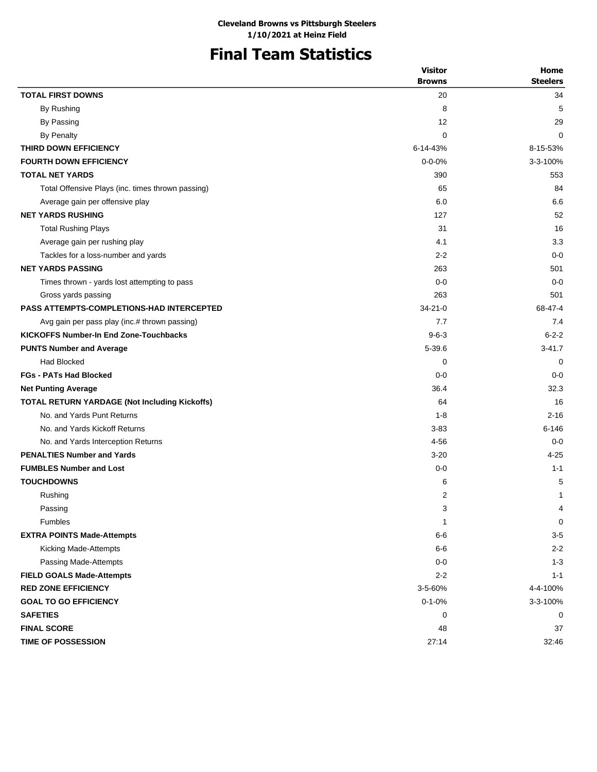## **Final Team Statistics**

|                                                   | <b>Visitor</b> | Home            |
|---------------------------------------------------|----------------|-----------------|
|                                                   | <b>Browns</b>  | <b>Steelers</b> |
| <b>TOTAL FIRST DOWNS</b>                          | 20             | 34              |
| By Rushing                                        | 8              | 5               |
| By Passing                                        | 12             | 29              |
| By Penalty                                        | 0              | $\Omega$        |
| THIRD DOWN EFFICIENCY                             | 6-14-43%       | 8-15-53%        |
| <b>FOURTH DOWN EFFICIENCY</b>                     | $0 - 0 - 0%$   | 3-3-100%        |
| <b>TOTAL NET YARDS</b>                            | 390            | 553             |
| Total Offensive Plays (inc. times thrown passing) | 65             | 84              |
| Average gain per offensive play                   | 6.0            | 6.6             |
| <b>NET YARDS RUSHING</b>                          | 127            | 52              |
| <b>Total Rushing Plays</b>                        | 31             | 16              |
| Average gain per rushing play                     | 4.1            | 3.3             |
| Tackles for a loss-number and yards               | $2 - 2$        | $0 - 0$         |
| <b>NET YARDS PASSING</b>                          | 263            | 501             |
| Times thrown - yards lost attempting to pass      | $0 - 0$        | $0 - 0$         |
| Gross yards passing                               | 263            | 501             |
| <b>PASS ATTEMPTS-COMPLETIONS-HAD INTERCEPTED</b>  | $34 - 21 - 0$  | 68-47-4         |
| Avg gain per pass play (inc.# thrown passing)     | 7.7            | 7.4             |
| <b>KICKOFFS Number-In End Zone-Touchbacks</b>     | $9 - 6 - 3$    | $6 - 2 - 2$     |
| <b>PUNTS Number and Average</b>                   | $5 - 39.6$     | $3 - 41.7$      |
| <b>Had Blocked</b>                                | 0              | 0               |
| <b>FGs - PATs Had Blocked</b>                     | $0 - 0$        | $0 - 0$         |
| <b>Net Punting Average</b>                        | 36.4           | 32.3            |
| TOTAL RETURN YARDAGE (Not Including Kickoffs)     | 64             | 16              |
| No. and Yards Punt Returns                        | $1 - 8$        | $2 - 16$        |
| No. and Yards Kickoff Returns                     | $3 - 83$       | $6 - 146$       |
| No. and Yards Interception Returns                | $4 - 56$       | $0 - 0$         |
| <b>PENALTIES Number and Yards</b>                 | $3 - 20$       | $4 - 25$        |
| <b>FUMBLES Number and Lost</b>                    | $0 - 0$        | $1 - 1$         |
| <b>TOUCHDOWNS</b>                                 | 6              | 5               |
| Rushing                                           | 2              | 1               |
| Passing                                           | 3              | 4               |
| Fumbles                                           | $\mathbf{1}$   | 0               |
| <b>EXTRA POINTS Made-Attempts</b>                 | $6-6$          | $3-5$           |
| Kicking Made-Attempts                             | $6-6$          | $2 - 2$         |
| Passing Made-Attempts                             | $0-0$          | $1 - 3$         |
| <b>FIELD GOALS Made-Attempts</b>                  | $2 - 2$        | $1 - 1$         |
| <b>RED ZONE EFFICIENCY</b>                        | 3-5-60%        | 4-4-100%        |
| <b>GOAL TO GO EFFICIENCY</b>                      | $0 - 1 - 0%$   | 3-3-100%        |
| <b>SAFETIES</b>                                   | 0              | 0               |
| <b>FINAL SCORE</b>                                | 48             | 37              |
| <b>TIME OF POSSESSION</b>                         | 27:14          | 32:46           |
|                                                   |                |                 |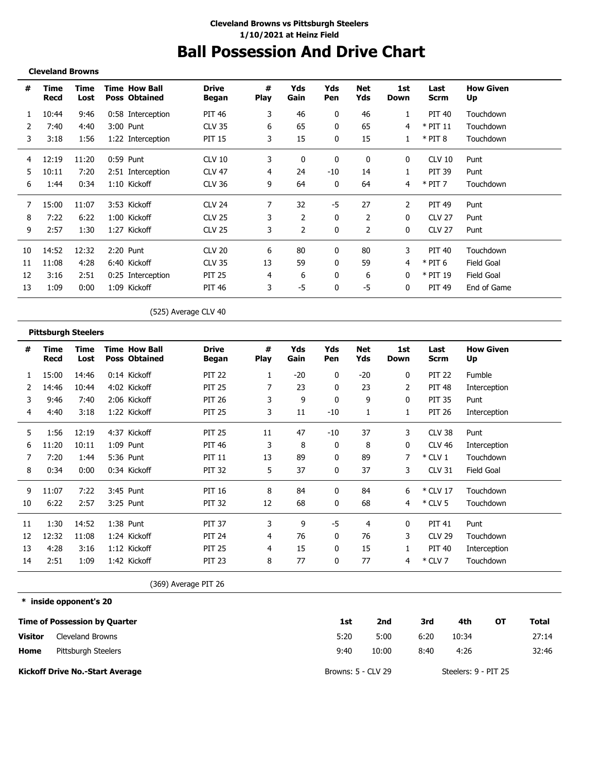## **Ball Possession And Drive Chart**

#### **Cleveland Browns**

-------------------------------

| #  | Time<br>Recd | Time<br>Lost | <b>Time How Ball</b><br><b>Poss Obtained</b> | <b>Drive</b><br>Began | #<br><b>Play</b> | Yds<br>Gain | Yds<br>Pen | <b>Net</b><br>Yds | 1st<br>Down | Last<br>Scrm  | <b>How Given</b><br>Up |
|----|--------------|--------------|----------------------------------------------|-----------------------|------------------|-------------|------------|-------------------|-------------|---------------|------------------------|
| 1  | 10:44        | 9:46         | 0:58 Interception                            | PIT 46                | 3                | 46          | 0          | 46                | 1           | PIT 40        | Touchdown              |
| 2  | 7:40         | 4:40         | 3:00 Punt                                    | <b>CLV 35</b>         | 6                | 65          | 0          | 65                | 4           | $*$ PIT 11    | Touchdown              |
| 3  | 3:18         | 1:56         | 1:22 Interception                            | <b>PIT 15</b>         | 3                | 15          | 0          | 15                |             | $*$ PIT 8     | Touchdown              |
| 4  | 12:19        | 11:20        | 0:59 Punt                                    | CLV <sub>10</sub>     | 3                | 0           | 0          | $\mathbf{0}$      | 0           | <b>CLV 10</b> | Punt                   |
| 5  | 10:11        | 7:20         | 2:51 Interception                            | <b>CLV 47</b>         | 4                | 24          | -10        | 14                |             | <b>PIT 39</b> | Punt                   |
| 6  | 1:44         | 0:34         | 1:10 Kickoff                                 | <b>CLV 36</b>         | 9                | 64          | 0          | 64                | 4           | $*$ PIT 7     | Touchdown              |
| 7  | 15:00        | 11:07        | 3:53 Kickoff                                 | <b>CLV 24</b>         | 7                | 32          | -5         | 27                | 2           | <b>PIT 49</b> | Punt                   |
| 8  | 7:22         | 6:22         | 1:00 Kickoff                                 | <b>CLV 25</b>         | 3                | 2           | 0          | 2                 | 0           | <b>CLV 27</b> | Punt                   |
| 9  | 2:57         | 1:30         | 1:27 Kickoff                                 | <b>CLV 25</b>         | 3                | 2           | 0          | 2                 | 0           | <b>CLV 27</b> | Punt                   |
| 10 | 14:52        | 12:32        | 2:20 Punt                                    | <b>CLV 20</b>         | 6                | 80          | 0          | 80                | 3           | PIT 40        | Touchdown              |
| 11 | 11:08        | 4:28         | 6:40 Kickoff                                 | <b>CLV 35</b>         | 13               | 59          | 0          | 59                | 4           | $*$ PIT 6     | Field Goal             |
| 12 | 3:16         | 2:51         | 0:25 Interception                            | <b>PIT 25</b>         | 4                | 6           | 0          | 6                 | 0           | $*$ PIT 19    | Field Goal             |
| 13 | 1:09         | 0:00         | 1:09 Kickoff                                 | <b>PIT 46</b>         | 3                | -5          | 0          | -5                | 0           | <b>PIT 49</b> | End of Game            |

(525) Average CLV 40

|    | <b>Pittsburgh Steelers</b> |              |  |                                              |                       |           |             |              |                   |                    |                     |                        |  |  |
|----|----------------------------|--------------|--|----------------------------------------------|-----------------------|-----------|-------------|--------------|-------------------|--------------------|---------------------|------------------------|--|--|
| #  | Time<br><b>Recd</b>        | Time<br>Lost |  | <b>Time How Ball</b><br><b>Poss Obtained</b> | <b>Drive</b><br>Began | #<br>Play | Yds<br>Gain | Yds<br>Pen   | <b>Net</b><br>Yds | 1st<br><b>Down</b> | Last<br><b>Scrm</b> | <b>How Given</b><br>Up |  |  |
|    | 15:00                      | 14:46        |  | 0:14 Kickoff                                 | <b>PIT 22</b>         |           | $-20$       | $\mathbf{0}$ | $-20$             | $\mathbf{0}$       | <b>PIT 22</b>       | Fumble                 |  |  |
|    | 14:46                      | 10:44        |  | 4:02 Kickoff                                 | <b>PIT 25</b>         | 7         | 23          | $\mathbf{0}$ | 23                | 2                  | <b>PIT 48</b>       | Interception           |  |  |
| 3  | 9:46                       | 7:40         |  | 2:06 Kickoff                                 | <b>PIT 26</b>         | 3         | 9           | 0            | 9                 | 0                  | <b>PIT 35</b>       | Punt                   |  |  |
| 4  | 4:40                       | 3:18         |  | 1:22 Kickoff                                 | <b>PIT 25</b>         | 3         | 11          | $-10$        | 1                 | 1                  | <b>PIT 26</b>       | Interception           |  |  |
| 5  | 1:56                       | 12:19        |  | 4:37 Kickoff                                 | <b>PIT 25</b>         | 11        | 47          | $-10$        | 37                | 3                  | CLV 38              | Punt                   |  |  |
| 6  | 11:20                      | 10:11        |  | 1:09 Punt                                    | <b>PIT 46</b>         | 3         | 8           | $\mathbf{0}$ | 8                 | 0                  | <b>CLV 46</b>       | Interception           |  |  |
|    | 7:20                       | 1:44         |  | 5:36 Punt                                    | <b>PIT 11</b>         | 13        | 89          | $\mathbf{0}$ | 89                | 7                  | $*$ CLV 1           | Touchdown              |  |  |
| 8  | 0:34                       | 0:00         |  | 0:34 Kickoff                                 | <b>PIT 32</b>         | 5         | 37          | 0            | 37                | 3                  | <b>CLV 31</b>       | Field Goal             |  |  |
| 9  | 11:07                      | 7:22         |  | 3:45 Punt                                    | <b>PIT 16</b>         | 8         | 84          | 0            | 84                | 6                  | * CLV 17            | Touchdown              |  |  |
| 10 | 6:22                       | 2:57         |  | 3:25 Punt                                    | <b>PIT 32</b>         | 12        | 68          | 0            | 68                | 4                  | $*$ CLV 5           | Touchdown              |  |  |
| 11 | 1:30                       | 14:52        |  | 1:38 Punt                                    | <b>PIT 37</b>         | 3         | 9           | -5           | 4                 | 0                  | <b>PIT 41</b>       | Punt                   |  |  |
| 12 | 12:32                      | 11:08        |  | 1:24 Kickoff                                 | <b>PIT 24</b>         | 4         | 76          | 0            | 76                | 3                  | <b>CLV 29</b>       | Touchdown              |  |  |
| 13 | 4:28                       | 3:16         |  | 1:12 Kickoff                                 | <b>PIT 25</b>         | 4         | 15          | $\mathbf{0}$ | 15                |                    | <b>PIT 40</b>       | Interception           |  |  |
| 14 | 2:51                       | 1:09         |  | 1:42 Kickoff                                 | <b>PIT 23</b>         | 8         | 77          | 0            | 77                | 4                  | $*$ CLV 7           | Touchdown              |  |  |

(369) Average PIT 26

**\* inside opponent's 20**

|                | Time of Possession by Quarter          | 1st                | 2nd   | 3rd  | 4th                  | ΟТ | Total |
|----------------|----------------------------------------|--------------------|-------|------|----------------------|----|-------|
| <b>Visitor</b> | Cleveland Browns                       | 5:20               | 5:00  | 6:20 | 10:34                |    | 27:14 |
| Home           | Pittsburgh Steelers                    | 9:40               | 10:00 | 8:40 | 4:26                 |    | 32:46 |
|                | <b>Kickoff Drive No.-Start Average</b> | Browns: 5 - CLV 29 |       |      | Steelers: 9 - PIT 25 |    |       |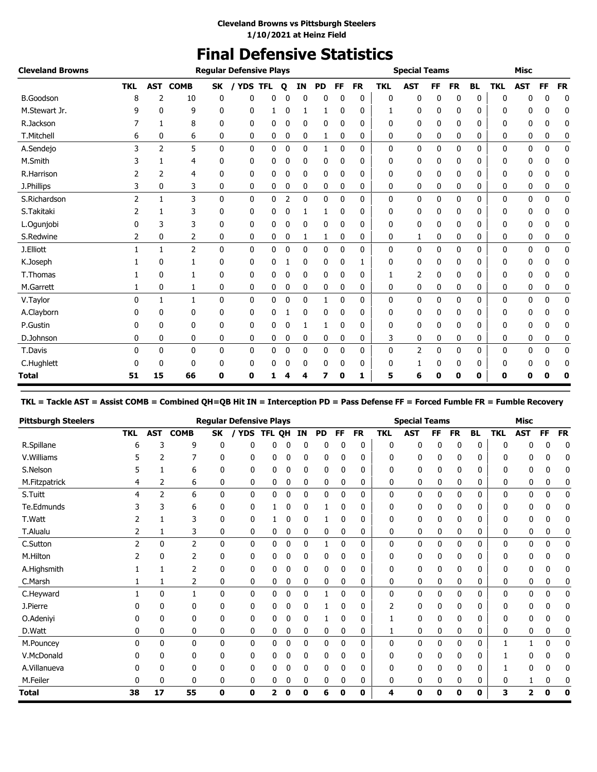### **Final Defensive Statistics**

| <b>Cleveland Browns</b> |                |                |                |              | <b>Regular Defensive Plays</b> |   |                |           |           |              |           |              | <b>Special Teams</b> |           |           |           |            | <b>Misc</b> |           |              |
|-------------------------|----------------|----------------|----------------|--------------|--------------------------------|---|----------------|-----------|-----------|--------------|-----------|--------------|----------------------|-----------|-----------|-----------|------------|-------------|-----------|--------------|
|                         | <b>TKL</b>     | <b>AST</b>     | <b>COMB</b>    | <b>SK</b>    | YDS TFL<br>$\prime$            |   | Q              | <b>IN</b> | <b>PD</b> | FF.          | <b>FR</b> | <b>TKL</b>   | <b>AST</b>           | <b>FF</b> | <b>FR</b> | <b>BL</b> | <b>TKL</b> | <b>AST</b>  | <b>FF</b> | <b>FR</b>    |
| <b>B.Goodson</b>        | 8              | 2              | 10             | 0            | 0                              | 0 | 0              | 0         | 0         | 0            | 0         | 0            | 0                    | 0         | 0         | 0         | 0          | n           | 0         | 0            |
| M.Stewart Jr.           | 9              | 0              | 9              | 0            | 0                              |   | 0              | 1         | 1         | 0            | 0         |              | 0                    | 0         | 0         | 0         | 0          | 0           | 0         | 0            |
| R.Jackson               |                | 1              | 8              | 0            | 0                              | 0 | 0              | 0         | 0         | 0            | 0         | 0            | 0                    | 0         | 0         | 0         | 0          | 0           | 0         | 0            |
| T.Mitchell              | 6              | 0              | 6              | 0            | 0                              | 0 | 0              | 0         | 1         | 0            | 0         | 0            | 0                    | 0         | 0         | 0         | 0          | 0           | 0         | 0            |
| A.Sendejo               | 3              | $\overline{2}$ | 5              | $\mathbf{0}$ | 0                              | 0 | 0              | 0         | 1         | $\mathbf{0}$ | 0         | 0            | 0                    | 0         | 0         | 0         | 0          | 0           | 0         | $\mathbf 0$  |
| M.Smith                 | 3              | 1              | 4              | 0            | 0                              | 0 | 0              | 0         | 0         | 0            | 0         | 0            | 0                    | 0         | 0         | 0         | 0          | 0           | 0         | 0            |
| R.Harrison              |                | 2              | 4              | 0            | 0                              | 0 | 0              | 0         | 0         | 0            | 0         | 0            | 0                    | 0         | 0         | 0         | 0          | 0           | 0         | 0            |
| J.Phillips              | 3              | 0              | 3              | 0            | 0                              | 0 | 0              | 0         | 0         | 0            | 0         | 0            | 0                    | 0         | 0         | 0         | 0          | 0           | 0         | 0            |
| S.Richardson            | $\overline{2}$ | $\mathbf{1}$   | 3              | $\mathbf{0}$ | $\mathbf{0}$                   | 0 | $\overline{2}$ | 0         | 0         | 0            | 0         | $\mathbf{0}$ | 0                    | 0         | 0         | 0         | 0          | 0           | 0         | $\mathbf{0}$ |
| S.Takitaki              |                |                | 3              | 0            | 0                              | 0 | 0              | 1         | 1         | 0            | 0         | 0            | 0                    | 0         | 0         | 0         | 0          | 0           | 0         | 0            |
| L.Ogunjobi              |                | 3              | 3              | 0            | 0                              | 0 | 0              | 0         | 0         | 0            | 0         | 0            | $\mathbf 0$          | 0         | 0         | 0         | 0          | 0           | 0         | 0            |
| S.Redwine               | 2              | 0              | 2              | 0            | 0                              | 0 | 0              | 1         | 1         | 0            | 0         | 0            | 1                    | 0         | 0         | 0         | 0          | 0           | 0         | 0            |
| J.Elliott               |                | 1              | $\overline{2}$ | $\mathbf{0}$ | $\mathbf 0$                    | 0 | 0              | 0         | 0         | 0            | 0         | 0            | 0                    | 0         | 0         | 0         | 0          | 0           | 0         | $\mathbf 0$  |
| K.Joseph                |                | 0              |                | 0            | 0                              | 0 |                | 0         | 0         | 0            |           | 0            | 0                    | 0         | 0         | 0         | 0          | 0           | 0         | 0            |
| T.Thomas                |                | 0              |                | 0            | 0                              | 0 | 0              | 0         | 0         | 0            | 0         |              | 2                    | 0         | 0         | 0         | 0          | 0           | 0         | 0            |
| M.Garrett               |                | 0              | 1              | 0            | 0                              | 0 | 0              | 0         | 0         | 0            | 0         | 0            | 0                    | 0         | 0         | 0         | 0          | 0           | 0         | 0            |
| V.Taylor                | 0              | 1              | $\mathbf{1}$   | $\mathbf{0}$ | 0                              | 0 | 0              | 0         | 1         | 0            | 0         | 0            | 0                    | 0         | 0         | 0         | 0          | 0           | 0         | $\mathbf 0$  |
| A.Clayborn              |                | 0              | $\Omega$       | 0            | 0                              | 0 |                | 0         | 0         | 0            | 0         | 0            | 0                    | 0         | 0         | 0         | 0          | 0           | n         | 0            |
| P.Gustin                |                | $\Omega$       | 0              | 0            | 0                              | 0 | 0              | 1         | 1         | 0            | 0         | 0            | 0                    | 0         | 0         | 0         | 0          | 0           | 0         | 0            |
| D.Johnson               | 0              | 0              | 0              | 0            | 0                              | 0 | 0              | 0         | 0         | 0            | 0         | 3            | 0                    | 0         | 0         | 0         | 0          | 0           | 0         | 0            |
| T.Davis                 | 0              | $\mathbf{0}$   | 0              | 0            | 0                              | 0 | 0              | 0         | 0         | 0            | 0         | 0            | 2                    | 0         | 0         | 0         | 0          | 0           | 0         | $\pmb{0}$    |
| C.Hughlett              |                | 0              | $\mathbf{0}$   | 0            | 0                              | 0 | 0              | 0         | 0         | 0            | 0         | 0            |                      | 0         | 0         | 0         | 0          | 0           | 0         | 0            |
| <b>Total</b>            | 51             | 15             | 66             | 0            | 0                              |   |                | 4         |           | 0            | 1         | 5            | 6                    | 0         | 0         | 0         | 0          | 0           | 0         | 0            |

**TKL = Tackle AST = Assist COMB = Combined QH=QB Hit IN = Interception PD = Pass Defense FF = Forced Fumble FR = Fumble Recovery**

| <b>Pittsburgh Steelers</b> |            |            |              |              | <b>Regular Defensive Plays</b> |            |   |    |           |           |           |              | <b>Special Teams</b> |    |              |           |              | <b>Misc</b> |          |           |
|----------------------------|------------|------------|--------------|--------------|--------------------------------|------------|---|----|-----------|-----------|-----------|--------------|----------------------|----|--------------|-----------|--------------|-------------|----------|-----------|
|                            | <b>TKL</b> | <b>AST</b> | <b>COMB</b>  | <b>SK</b>    |                                | YDS TFL QH |   | IN | <b>PD</b> | <b>FF</b> | <b>FR</b> | <b>TKL</b>   | <b>AST</b>           | FF | <b>FR</b>    | <b>BL</b> | <b>TKL</b>   | <b>AST</b>  | FF       | <b>FR</b> |
| R.Spillane                 | 6          | ว          | 9            | 0            | ſ                              |            | 0 | 0  | 0         | 0         | 0         | 0            | 0                    | 0  | 0            | 0         |              |             | ſ        | 0         |
| V. Williams                |            |            |              | ŋ            | 0                              | 0          | 0 | 0  | 0         | 0         | 0         | 0            | 0                    | 0  | 0            | 0         |              |             |          | 0         |
| S.Nelson                   | 5          |            | 6            | 0            | 0                              | 0          | 0 | 0  | 0         | 0         | 0         | 0            | 0                    | 0  | 0            | 0         | 0            | 0           | 0        | 0         |
| M.Fitzpatrick              | 4          | 2          | 6            | 0            | 0                              | 0          | 0 | 0  | 0         | 0         | 0         | 0            | 0                    | 0  | 0            | 0         | 0            | 0           | 0        | 0         |
| S.Tuitt                    | 4          | 2          | 6            | $\mathbf{0}$ | 0                              | 0          | 0 | 0  | 0         | 0         | 0         | $\mathbf 0$  | 0                    | 0  | $\mathbf{0}$ | 0         | $\mathbf{0}$ | 0           | 0        | 0         |
| Te.Edmunds                 |            | 3          | 6            | 0            | 0                              |            | 0 | 0  |           | 0         | 0         | 0            | 0                    | 0  | 0            | 0         | 0            | 0           |          | 0         |
| T.Watt                     |            |            | 3            | 0            | 0                              |            | 0 | 0  |           | 0         | 0         | 0            | 0                    | 0  | 0            | 0         | n            |             | 0        | 0         |
| T.Alualu                   | 2          | 1          | 3            | 0            | 0                              | 0          | 0 | 0  | 0         | 0         | 0         | 0            | 0                    | 0  | 0            | 0         | 0            | 0           | 0        | 0         |
| C.Sutton                   |            | 0          | 2            | 0            | 0                              | 0          | 0 | 0  |           | 0         | 0         | $\mathbf{0}$ | 0                    | 0  | $\mathbf{0}$ | 0         | 0            | 0           | 0        | 0         |
| M.Hilton                   |            | 0          |              | 0            | 0                              |            | 0 | 0  | 0         | 0         | 0         | 0            | 0                    | 0  | 0            | 0         | 0            |             |          | 0         |
| A.Highsmith                |            |            | 2            | 0            | 0                              | 0          | 0 | 0  | 0         | 0         | 0         | 0            | 0                    | 0  | 0            | 0         | 0            | 0           | 0        | 0         |
| C.Marsh                    |            |            | 2            | 0            | 0                              | 0          | 0 | 0  | 0         | 0         | 0         | 0            | 0                    | 0  | 0            | 0         | 0            | 0           | 0        | 0         |
| C.Heyward                  |            | 0          | 1            | $\mathbf{0}$ | 0                              | 0          | 0 | 0  | 1         | 0         | 0         | $\mathbf{0}$ | 0                    | 0  | $\mathbf{0}$ | 0         | 0            | 0           | 0        | 0         |
| J.Pierre                   |            | 0          | 0            | 0            | 0                              | 0          | 0 | 0  |           | 0         | 0         | 2            | 0                    | 0  | 0            | 0         | 0            | 0           |          | 0         |
| O.Adeniyi                  |            | 0          | 0            | 0            | 0                              | 0          | 0 | 0  |           | 0         | 0         |              | 0                    | 0  | 0            | 0         |              |             | 0        | 0         |
| D.Watt                     | 0          | 0          | 0            | 0            | 0                              | 0          | 0 | 0  | 0         | 0         | 0         | 1            | 0                    | 0  | 0            | 0         | 0            | 0           | 0        | 0         |
| M.Pouncey                  | 0          | 0          | $\mathbf{0}$ | 0            | 0                              | 0          | 0 | 0  | 0         | 0         | 0         | $\mathbf{0}$ | 0                    | 0  | $\mathbf{0}$ | 0         |              |             | 0        | 0         |
| V.McDonald                 |            | ŋ          | $\Omega$     | 0            | 0                              | 0          | 0 | 0  | 0         | 0         | 0         | 0            | 0                    | 0  | 0            | 0         |              |             |          | 0         |
| A.Villanueva               | n          | 0          | 0            | 0            | 0                              | 0          | 0 | 0  | 0         | 0         | 0         | 0            | 0                    | 0  | 0            | 0         |              | ŋ           | 0        | 0         |
| M.Feiler                   | 0          | 0          | $\mathbf{0}$ | 0            | 0                              | 0          | 0 | 0  | 0         | 0         | 0         | $\mathbf 0$  | 0                    | 0  | 0            | 0         | 0            |             | 0        |           |
| <b>Total</b>               | 38         | 17         | 55           | $\mathbf 0$  | 0                              | 2          | 0 | 0  | 6         | 0         | 0         | 4            | $\mathbf 0$          | 0  | 0            | 0         | 3            | 2           | $\bf{0}$ | $\bf{0}$  |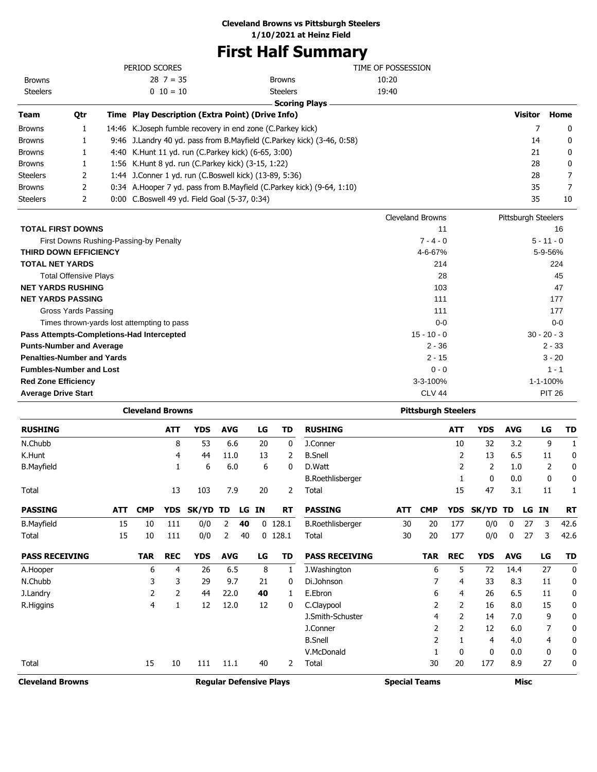#### **Cleveland Browns vs Pittsburgh Steelers**

**1/10/2021 at Heinz Field**

### **First Half Summary**

| <b>Browns</b>   |     | 1:56 K.Hunt 8 yd. run (C.Parkey kick) (3-15, 1:22)           |                                                                        |                    | 28             |      |
|-----------------|-----|--------------------------------------------------------------|------------------------------------------------------------------------|--------------------|----------------|------|
|                 |     |                                                              |                                                                        |                    |                | 0    |
| <b>Browns</b>   |     | 4:40 K.Hunt 11 yd. run (C.Parkey kick) (6-65, 3:00)          |                                                                        |                    | 21             | 0    |
| <b>Browns</b>   |     |                                                              | 9:46 J.Landry 40 yd. pass from B.Mayfield (C.Parkey kick) (3-46, 0:58) |                    | 14             | 0    |
| <b>Browns</b>   | 1   | 14:46 K. Joseph fumble recovery in end zone (C. Parkey kick) |                                                                        |                    |                | 0    |
|                 |     |                                                              |                                                                        |                    |                |      |
| <b>Team</b>     | Qtr | Time Play Description (Extra Point) (Drive Info)             |                                                                        |                    | <b>Visitor</b> | Home |
|                 |     |                                                              | <b>Scoring Plays</b>                                                   |                    |                |      |
|                 |     |                                                              |                                                                        |                    |                |      |
| <b>Steelers</b> |     | $0 \t10 = 10$                                                | <b>Steelers</b>                                                        | 19:40              |                |      |
| <b>Browns</b>   |     | $28 \t7 = 35$                                                | <b>Browns</b>                                                          | 10:20              |                |      |
|                 |     | PERIOD SCORES                                                |                                                                        | TIME OF POSSESSION |                |      |

|                                            | CICYCIGHU DI UNITO | <b>TROUGHT SCELERS</b> |
|--------------------------------------------|--------------------|------------------------|
| <b>TOTAL FIRST DOWNS</b>                   | 11                 | 16                     |
| First Downs Rushing-Passing-by Penalty     | $7 - 4 - 0$        | $5 - 11 - 0$           |
| <b>THIRD DOWN EFFICIENCY</b>               | 4-6-67%            | 5-9-56%                |
| <b>TOTAL NET YARDS</b>                     | 214                | 224                    |
| <b>Total Offensive Plays</b>               | 28                 | 45                     |
| <b>NET YARDS RUSHING</b>                   | 103                | 47                     |
| <b>NET YARDS PASSING</b>                   | 111                | 177                    |
| Gross Yards Passing                        | 111                | 177                    |
| Times thrown-yards lost attempting to pass | $0-0$              | $0-0$                  |
| Pass Attempts-Completions-Had Intercepted  | $15 - 10 - 0$      | $30 - 20 - 3$          |
| <b>Punts-Number and Average</b>            | $2 - 36$           | $2 - 33$               |
| <b>Penalties-Number and Yards</b>          | $2 - 15$           | $3 - 20$               |
| <b>Fumbles-Number and Lost</b>             | $0 - 0$            | $1 - 1$                |
| <b>Red Zone Efficiency</b>                 | $3 - 3 - 100\%$    | 1-1-100%               |
| <b>Average Drive Start</b>                 | CLV <sub>44</sub>  | <b>PIT 26</b>          |

|                                                           |            | <b>Cleveland Browns</b> |            |            |                |    |              |                      | <b>Pittsburgh Steelers</b> |            |            |              |             |            |    |       |           |
|-----------------------------------------------------------|------------|-------------------------|------------|------------|----------------|----|--------------|----------------------|----------------------------|------------|------------|--------------|-------------|------------|----|-------|-----------|
| <b>RUSHING</b>                                            |            |                         | <b>ATT</b> | <b>YDS</b> | <b>AVG</b>     |    | LG           | TD                   | <b>RUSHING</b>             |            |            | <b>ATT</b>   | <b>YDS</b>  | <b>AVG</b> |    | LG    | TD        |
| N.Chubb                                                   |            |                         | 8          | 53         | 6.6            |    | 20           | 0                    | J.Conner                   |            |            | 10           | 32          | 3.2        |    | 9     | 1         |
| K.Hunt                                                    |            |                         | 4          | 44         | 11.0           |    | 13           | 2                    | <b>B.Snell</b>             |            |            | 2            | 13          | 6.5        |    | 11    | 0         |
| <b>B.Mayfield</b>                                         |            |                         | 1          | 6          | 6.0            |    | 6            | 0                    | D.Watt                     |            |            | 2            | 2           | 1.0        |    | 2     | 0         |
|                                                           |            |                         |            |            |                |    |              |                      | <b>B.Roethlisberger</b>    |            |            |              | 0           | 0.0        |    | 0     | 0         |
| Total                                                     |            |                         | 13         | 103        | 7.9            |    | 20           | 2                    | Total                      |            |            | 15           | 47          | 3.1        |    | 11    | 1         |
| <b>PASSING</b>                                            | <b>ATT</b> | <b>CMP</b>              | <b>YDS</b> | SK/YD      | TD             | LG | IN           | <b>RT</b>            | <b>PASSING</b>             | <b>ATT</b> | <b>CMP</b> | <b>YDS</b>   | SK/YD       | TD         |    | LG IN | <b>RT</b> |
| <b>B.Mayfield</b>                                         | 15         | 10                      | 111        | 0/0        | 2              | 40 |              | $0$ 128.1            | <b>B.Roethlisberger</b>    | 30         | 20         | 177          | 0/0         | 0          | 27 | 3     | 42.6      |
| Total                                                     | 15         | 10                      | 111        | 0/0        | $\overline{2}$ | 40 | $\mathbf{0}$ | 128.1                | Total                      | 30         | 20         | 177          | 0/0         | 0          | 27 | 3     | 42.6      |
| <b>PASS RECEIVING</b>                                     |            | <b>TAR</b>              | <b>REC</b> | <b>YDS</b> | <b>AVG</b>     |    | LG           | TD                   | <b>PASS RECEIVING</b>      |            | <b>TAR</b> | <b>REC</b>   | <b>YDS</b>  | <b>AVG</b> |    | LG    | <b>TD</b> |
| A.Hooper                                                  |            | 6                       | 4          | 26         | 6.5            |    | 8            | 1                    | J. Washington              |            | 6          | 5            | 72          | 14.4       |    | 27    | 0         |
| N.Chubb                                                   |            | 3                       | 3          | 29         | 9.7            |    | 21           | 0                    | Di.Johnson                 |            |            | 4            | 33          | 8.3        |    | 11    | 0         |
| J.Landry                                                  |            | 2                       | 2          | 44         | 22.0           |    | 40           | 1                    | E.Ebron                    |            | 6          | 4            | 26          | 6.5        |    | 11    | 0         |
| R.Higgins                                                 |            | 4                       | 1          | 12         | 12.0           |    | 12           | 0                    | C.Claypool                 |            | 2          | 2            | 16          | 8.0        |    | 15    | 0         |
|                                                           |            |                         |            |            |                |    |              |                      | J.Smith-Schuster           |            | 4          | 2            | 14          | 7.0        |    | 9     | 0         |
|                                                           |            |                         |            |            |                |    |              |                      | J.Conner                   |            | 2          | 2            | 12          | 6.0        |    | 7     | 0         |
|                                                           |            |                         |            |            |                |    |              |                      | <b>B.Snell</b>             |            | 2          |              | 4           | 4.0        |    | 4     | 0         |
|                                                           |            |                         |            |            |                |    |              |                      | V.McDonald                 |            |            | $\mathbf{0}$ | 0           | 0.0        |    | 0     | 0         |
| Total                                                     |            | 15                      | 10         | 111        | 11.1           |    | 40           | 2                    | <b>Total</b>               |            | 30         | 20           | 177         | 8.9        |    | 27    | 0         |
| <b>Cleveland Browns</b><br><b>Regular Defensive Plays</b> |            |                         |            |            |                |    |              | <b>Special Teams</b> |                            |            |            |              | <b>Misc</b> |            |    |       |           |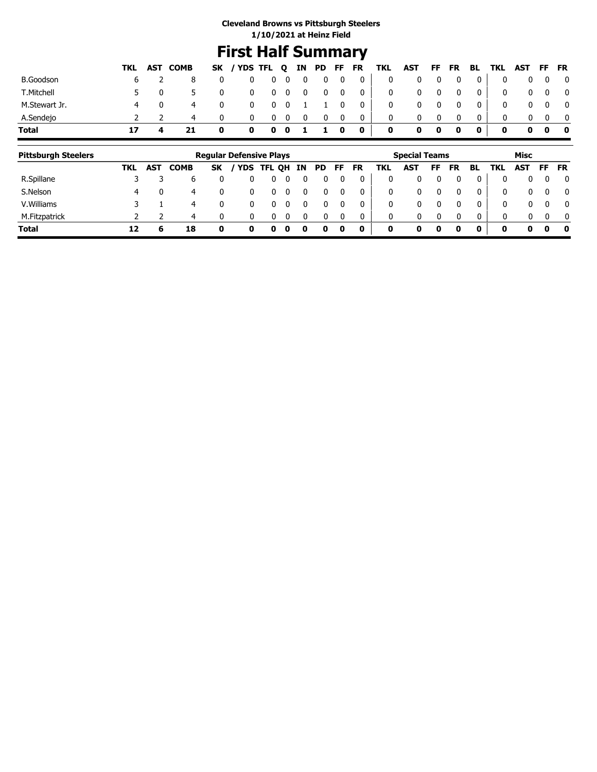### **First Half Summary**

|                  |    |              | TKL AST COMB |          | SK / YDS TFL Q IN PD FF FR |            |   |          |          |                | TKL | AST FF FR BL TKL AST FF FR |   |   |              |              |          |                         |
|------------------|----|--------------|--------------|----------|----------------------------|------------|---|----------|----------|----------------|-----|----------------------------|---|---|--------------|--------------|----------|-------------------------|
| <b>B.Goodson</b> |    |              |              | 0        |                            | $0\quad 0$ | 0 | 0        | 0        | $\mathbf{0}$   | 0   |                            | 0 | 0 | $\mathbf 0$  | $\mathbf{0}$ |          |                         |
| T.Mitchell       |    | $\mathbf{0}$ |              |          |                            | $0\quad 0$ | 0 | 0        | 0        | $\overline{0}$ | 0   |                            | 0 | 0 | $\mathbf{0}$ | $\mathbf{0}$ | 0        | $\overline{\mathbf{0}}$ |
| M.Stewart Jr.    | 4  |              | 4            | 0        |                            | $0\quad 0$ |   |          | 0        | $\mathbf{0}$   | 0   |                            | 0 | 0 | $\mathbf{0}$ |              | $\Omega$ | $\overline{\mathbf{0}}$ |
| A.Sendejo        |    |              | 4            | $\Omega$ |                            | 0          | 0 | $\Omega$ | $\bf{0}$ | $\bf{0}$       | 0   |                            |   | 0 |              |              |          |                         |
| <b>Total</b>     | 17 |              |              | 0        | 0                          | $0\quad 0$ |   |          | 0        | $\mathbf 0$    | 0   | 0                          | 0 | 0 |              | 0            |          | . O                     |

| <b>Pittsburgh Steelers</b> |     |            |             |              | <b>Regular Defensive Plays</b> |            |    |     |     |    |           |     | <b>Special Teams</b> |    |           |    |            | Misc         |          |              |
|----------------------------|-----|------------|-------------|--------------|--------------------------------|------------|----|-----|-----|----|-----------|-----|----------------------|----|-----------|----|------------|--------------|----------|--------------|
|                            | TKL | <b>AST</b> | <b>COMB</b> | <b>SK</b>    | <b>YDS</b>                     | <b>TFL</b> | QH | IN. | PD. | FF | <b>FR</b> | TKL | <b>AST</b>           | FF | <b>FR</b> | BL | <b>TKL</b> | <b>AST</b>   | FF       | <b>FR</b>    |
| R.Spillane                 |     |            |             |              |                                |            |    |     |     |    |           | 0   |                      |    |           |    | 0          | 0            | 0        | $\mathbf{0}$ |
| S.Nelson                   | 4   |            | 4           |              |                                |            |    |     |     | 0  |           | 0   | 0                    |    |           |    | 0          | 0            | $\Omega$ | $\mathbf{0}$ |
| V. Williams                |     |            | 4           |              |                                |            |    |     |     |    |           | 0   | 0                    |    |           |    | 0          | $\mathbf{0}$ | $\Omega$ | $\mathbf{0}$ |
| M.Fitzpatrick              |     |            | 4           | <sup>0</sup> |                                |            |    |     |     |    |           | 0   | 0                    |    |           | റ  | $\Omega$   | 0            | $\Omega$ | $\mathbf{0}$ |
| <b>Total</b>               | 12  | 6          | 18          |              | 0                              | o          | o  |     | o   | 0  | 0         | 0   | 0                    |    | 0         | 0  | 0          | 0            | 0        | 0            |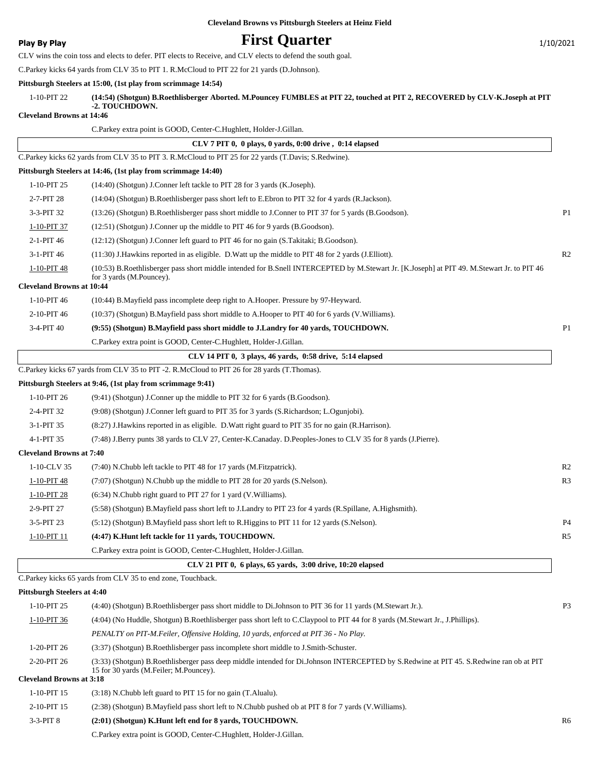**Play By Play Play Play Play First Quarter** 1/10/2021

CLV wins the coin toss and elects to defer. PIT elects to Receive, and CLV elects to defend the south goal.

C.Parkey kicks 64 yards from CLV 35 to PIT 1. R.McCloud to PIT 22 for 21 yards (D.Johnson).

#### **Pittsburgh Steelers at 15:00, (1st play from scrimmage 14:54)**

| 1-10-PIT 22 | (14:54) (Shotgun) B.Roethlisberger Aborted. M.Pouncey FUMBLES at PIT 22, touched at PIT 2, RECOVERED by CLV-K.Joseph at PIT<br>-2. TOUCHDOWN. |
|-------------|-----------------------------------------------------------------------------------------------------------------------------------------------|
|             |                                                                                                                                               |

**Cleveland Browns at 14:46**

|                                                 | C.Parkey extra point is GOOD, Center-C.Hughlett, Holder-J.Gillan.                                                                                                      |                |
|-------------------------------------------------|------------------------------------------------------------------------------------------------------------------------------------------------------------------------|----------------|
|                                                 | CLV 7 PIT 0, 0 plays, 0 yards, 0:00 drive, 0:14 elapsed                                                                                                                |                |
|                                                 | C.Parkey kicks 62 yards from CLV 35 to PIT 3. R.McCloud to PIT 25 for 22 yards (T.Davis; S.Redwine).                                                                   |                |
|                                                 | Pittsburgh Steelers at 14:46, (1st play from scrimmage 14:40)                                                                                                          |                |
| 1-10-PIT 25                                     | (14:40) (Shotgun) J.Conner left tackle to PIT 28 for 3 yards (K.Joseph).                                                                                               |                |
| 2-7-PIT 28                                      | (14:04) (Shotgun) B.Roethlisberger pass short left to E.Ebron to PIT 32 for 4 yards (R.Jackson).                                                                       |                |
| 3-3-PIT 32                                      | (13:26) (Shotgun) B.Roethlisberger pass short middle to J.Conner to PIT 37 for 5 yards (B.Goodson).                                                                    | P <sub>1</sub> |
| 1-10-PIT 37                                     | $(12:51)$ (Shotgun) J.Conner up the middle to PIT 46 for 9 yards (B.Goodson).                                                                                          |                |
| 2-1-PIT 46                                      | (12:12) (Shotgun) J.Conner left guard to PIT 46 for no gain (S.Takitaki; B.Goodson).                                                                                   |                |
| 3-1-PIT 46                                      | (11:30) J. Hawkins reported in as eligible. D. Watt up the middle to PIT 48 for 2 yards (J. Elliott).                                                                  | R <sub>2</sub> |
| 1-10-PIT 48<br><b>Cleveland Browns at 10:44</b> | (10:53) B.Roethlisberger pass short middle intended for B.Snell INTERCEPTED by M.Stewart Jr. [K.Joseph] at PIT 49. M.Stewart Jr. to PIT 46<br>for 3 yards (M.Pouncey). |                |
| 1-10-PIT 46                                     | (10:44) B.Mayfield pass incomplete deep right to A.Hooper. Pressure by 97-Heyward.                                                                                     |                |
| 2-10-PIT 46                                     | (10:37) (Shotgun) B. Mayfield pass short middle to A. Hooper to PIT 40 for 6 yards (V. Williams).                                                                      |                |
|                                                 | (9:55) (Shotgun) B.Mayfield pass short middle to J.Landry for 40 yards, TOUCHDOWN.                                                                                     | P <sub>1</sub> |
| 3-4-PIT 40                                      | C.Parkey extra point is GOOD, Center-C.Hughlett, Holder-J.Gillan.                                                                                                      |                |
|                                                 | CLV 14 PIT 0, 3 plays, 46 yards, 0:58 drive, 5:14 elapsed                                                                                                              |                |
|                                                 | C.Parkey kicks 67 yards from CLV 35 to PIT -2. R.McCloud to PIT 26 for 28 yards (T.Thomas).                                                                            |                |
|                                                 | Pittsburgh Steelers at 9:46, (1st play from scrimmage 9:41)                                                                                                            |                |
| 1-10-PIT 26                                     | (9:41) (Shotgun) J.Conner up the middle to PIT 32 for 6 yards (B.Goodson).                                                                                             |                |
| 2-4-PIT 32                                      | (9:08) (Shotgun) J.Conner left guard to PIT 35 for 3 yards (S.Richardson; L.Ogunjobi).                                                                                 |                |
| 3-1-PIT 35                                      | (8:27) J.Hawkins reported in as eligible. D.Watt right guard to PIT 35 for no gain (R.Harrison).                                                                       |                |
| 4-1-PIT 35                                      | (7:48) J.Berry punts 38 yards to CLV 27, Center-K.Canaday. D.Peoples-Jones to CLV 35 for 8 yards (J.Pierre).                                                           |                |
| <b>Cleveland Browns at 7:40</b>                 |                                                                                                                                                                        |                |
| 1-10-CLV 35                                     | (7:40) N.Chubb left tackle to PIT 48 for 17 yards (M.Fitzpatrick).                                                                                                     | R <sub>2</sub> |
| 1-10-PIT 48                                     | (7:07) (Shotgun) N.Chubb up the middle to PIT 28 for 20 yards (S.Nelson).                                                                                              | R <sub>3</sub> |
| $1-10-PIT$ 28                                   | $(6:34)$ N.Chubb right guard to PIT 27 for 1 yard (V.Williams).                                                                                                        |                |
| 2-9-PIT 27                                      | (5:58) (Shotgun) B. Mayfield pass short left to J. Landry to PIT 23 for 4 yards (R. Spillane, A. Highsmith).                                                           |                |
| 3-5-PIT 23                                      | (5:12) (Shotgun) B.Mayfield pass short left to R.Higgins to PIT 11 for 12 yards (S.Nelson).                                                                            | P <sub>4</sub> |
| $1-10-PIT$ 11                                   | (4:47) K.Hunt left tackle for 11 yards, TOUCHDOWN.                                                                                                                     | R <sub>5</sub> |
|                                                 | C.Parkey extra point is GOOD, Center-C.Hughlett, Holder-J.Gillan.                                                                                                      |                |
|                                                 | CLV 21 PIT 0, 6 plays, 65 yards, 3:00 drive, 10:20 elapsed                                                                                                             |                |
|                                                 | C. Parkey kicks 65 yards from CLV 35 to end zone, Touchback.                                                                                                           |                |
| <b>Pittsburgh Steelers at 4:40</b>              |                                                                                                                                                                        |                |
| 1-10-PIT 25                                     | (4:40) (Shotgun) B.Roethlisberger pass short middle to Di.Johnson to PIT 36 for 11 yards (M.Stewart Jr.).                                                              | P <sub>3</sub> |
| 1-10-PIT 36                                     | (4:04) (No Huddle, Shotgun) B.Roethlisberger pass short left to C.Claypool to PIT 44 for 8 yards (M.Stewart Jr., J.Phillips).                                          |                |
|                                                 | PENALTY on PIT-M.Feiler, Offensive Holding, 10 yards, enforced at PIT 36 - No Play.                                                                                    |                |
| 1-20-PIT 26                                     | (3:37) (Shotgun) B.Roethlisberger pass incomplete short middle to J.Smith-Schuster.                                                                                    |                |
| 2-20-PIT 26                                     | (3:33) (Shotgun) B.Roethlisberger pass deep middle intended for Di.Johnson INTERCEPTED by S.Redwine at PIT 45. S.Redwine ran ob at PIT                                 |                |
| <b>Cleveland Browns at 3:18</b>                 | 15 for 30 yards (M.Feiler; M.Pouncey).                                                                                                                                 |                |
| 1-10-PIT 15                                     | $(3:18)$ N.Chubb left guard to PIT 15 for no gain $(T.A$ lualu).                                                                                                       |                |
| 2-10-PIT 15                                     | (2:38) (Shotgun) B. Mayfield pass short left to N. Chubb pushed ob at PIT 8 for 7 yards (V. Williams).                                                                 |                |
|                                                 |                                                                                                                                                                        |                |

3-3-PIT 8 **(2:01) (Shotgun) K.Hunt left end for 8 yards, TOUCHDOWN.** R6

C.Parkey extra point is GOOD, Center-C.Hughlett, Holder-J.Gillan.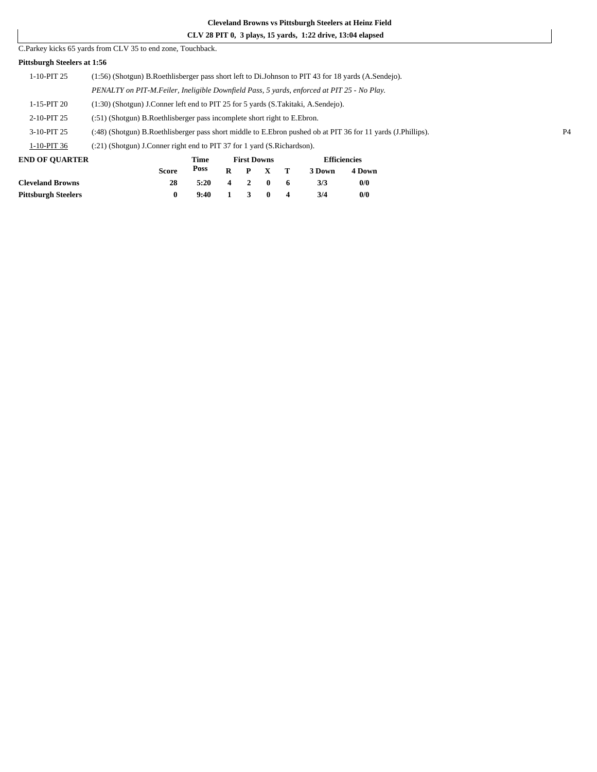#### **CLV 28 PIT 0, 3 plays, 15 yards, 1:22 drive, 13:04 elapsed**

#### C.Parkey kicks 65 yards from CLV 35 to end zone, Touchback.

#### **Pittsburgh Steelers at 1:56**

| END OF QUARTER | <b>Efficiencies</b><br>Fime<br><b>First Downs</b>                                                            |  |  |  |  |  |  |  |  |
|----------------|--------------------------------------------------------------------------------------------------------------|--|--|--|--|--|--|--|--|
| 1-10-PIT 36    | $(21)$ (Shotgun) J.Conner right end to PIT 37 for 1 yard (S.Richardson).                                     |  |  |  |  |  |  |  |  |
| 3-10-PIT 25    | (:48) (Shotgun) B.Roethlisberger pass short middle to E.Ebron pushed ob at PIT 36 for 11 yards (J.Phillips). |  |  |  |  |  |  |  |  |
| 2-10-PIT 25    | (:51) (Shotgun) B.Roethlisberger pass incomplete short right to E.Ebron.                                     |  |  |  |  |  |  |  |  |
| 1-15-PIT 20    | $(1:30)$ (Shotgun) J.Conner left end to PIT 25 for 5 yards (S.Takitaki, A.Sendejo).                          |  |  |  |  |  |  |  |  |
|                | PENALTY on PIT-M. Feiler, Ineligible Downfield Pass, 5 yards, enforced at PIT 25 - No Play.                  |  |  |  |  |  |  |  |  |
| $1-10-PIT$ 25  | (1:56) (Shotgun) B.Roethlisberger pass short left to Di.Johnson to PIT 43 for 18 yards (A.Sendejo).          |  |  |  |  |  |  |  |  |
|                |                                                                                                              |  |  |  |  |  |  |  |  |

|              |      |   |           |                                                  | Linuville      |        |  |
|--------------|------|---|-----------|--------------------------------------------------|----------------|--------|--|
| <b>Score</b> | Poss |   |           |                                                  | 3 Down         | 4 Down |  |
| 28           | 5:20 |   |           |                                                  | 3/3            | 0/0    |  |
|              | 9:40 |   | $\bullet$ | $\mathbf 4$                                      | 3/4            | 0/0    |  |
|              |      | . |           | 1100 DOMIN<br>$4 \quad 2 \quad 0$<br>$1 \quad 3$ | R P X T<br>- 6 |        |  |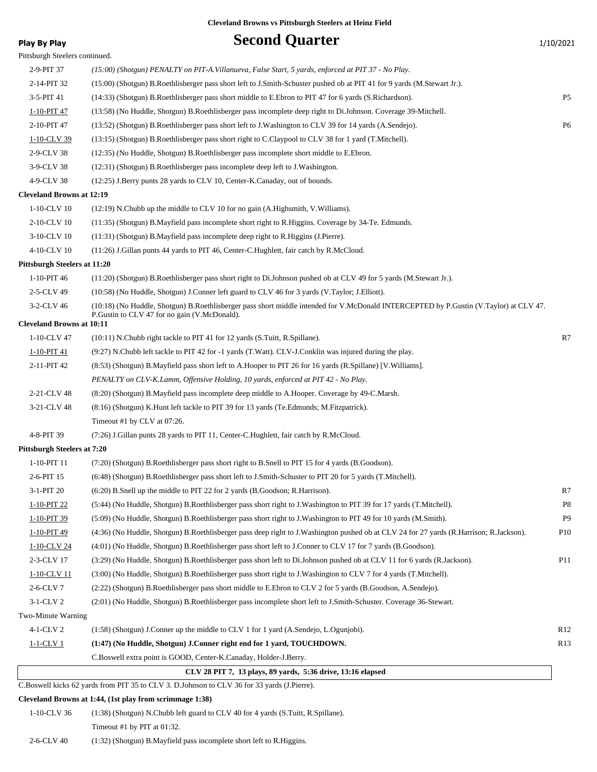### **Play By Play Play Play Second Quarter** 1/10/2021 Pittsburgh Steelers continued. 2-9-PIT 37 *(15:00) (Shotgun) PENALTY on PIT-A.Villanueva, False Start, 5 yards, enforced at PIT 37 - No Play.* 2-14-PIT 32 (15:00) (Shotgun) B.Roethlisberger pass short left to J.Smith-Schuster pushed ob at PIT 41 for 9 yards (M.Stewart Jr.). 3-5-PIT 41 (14:33) (Shotgun) B.Roethlisberger pass short middle to E.Ebron to PIT 47 for 6 yards (S.Richardson). P5 1-10-PIT 47 (13:58) (No Huddle, Shotgun) B.Roethlisberger pass incomplete deep right to Di.Johnson. Coverage 39-Mitchell. 2-10-PIT 47 (13:52) (Shotgun) B.Roethlisberger pass short left to J.Washington to CLV 39 for 14 yards (A.Sendejo). P6 1-10-CLV 39 (13:15) (Shotgun) B.Roethlisberger pass short right to C.Claypool to CLV 38 for 1 yard (T.Mitchell). 2-9-CLV 38 (12:35) (No Huddle, Shotgun) B.Roethlisberger pass incomplete short middle to E.Ebron. 3-9-CLV 38 (12:31) (Shotgun) B.Roethlisberger pass incomplete deep left to J.Washington. 4-9-CLV 38 (12:25) J.Berry punts 28 yards to CLV 10, Center-K.Canaday, out of bounds. **Cleveland Browns at 12:19** 1-10-CLV 10 (12:19) N.Chubb up the middle to CLV 10 for no gain (A.Highsmith, V.Williams). 2-10-CLV 10 (11:35) (Shotgun) B.Mayfield pass incomplete short right to R.Higgins. Coverage by 34-Te. Edmunds. 3-10-CLV 10 (11:31) (Shotgun) B.Mayfield pass incomplete deep right to R.Higgins (J.Pierre). 4-10-CLV 10 (11:26) J.Gillan punts 44 yards to PIT 46, Center-C.Hughlett, fair catch by R.McCloud. **Pittsburgh Steelers at 11:20** 1-10-PIT 46 (11:20) (Shotgun) B.Roethlisberger pass short right to Di.Johnson pushed ob at CLV 49 for 5 yards (M.Stewart Jr.). 2-5-CLV 49 (10:58) (No Huddle, Shotgun) J.Conner left guard to CLV 46 for 3 yards (V.Taylor; J.Elliott). (10:18) (No Huddle, Shotgun) B.Roethlisberger pass short middle intended for V.McDonald INTERCEPTED by P.Gustin (V.Taylor) at CLV 47. P.Gustin to CLV 47 for no gain (V.McDonald). 3-2-CLV 46 **Cleveland Browns at 10:11** 1-10-CLV 47 (10:11) N.Chubb right tackle to PIT 41 for 12 yards (S.Tuitt, R.Spillane). R7 1-10-PIT 41 (9:27) N.Chubb left tackle to PIT 42 for -1 yards (T.Watt). CLV-J.Conklin was injured during the play. 2-11-PIT 42 (8:53) (Shotgun) B.Mayfield pass short left to A.Hooper to PIT 26 for 16 yards (R.Spillane) [V.Williams]. *PENALTY on CLV-K.Lamm, Offensive Holding, 10 yards, enforced at PIT 42 - No Play.* 2-21-CLV 48 (8:20) (Shotgun) B.Mayfield pass incomplete deep middle to A.Hooper. Coverage by 49-C.Marsh. 3-21-CLV 48 (8:16) (Shotgun) K.Hunt left tackle to PIT 39 for 13 yards (Te.Edmunds; M.Fitzpatrick). Timeout #1 by CLV at 07:26. 4-8-PIT 39 (7:26) J.Gillan punts 28 yards to PIT 11, Center-C.Hughlett, fair catch by R.McCloud. **Pittsburgh Steelers at 7:20** 1-10-PIT 11 (7:20) (Shotgun) B.Roethlisberger pass short right to B.Snell to PIT 15 for 4 yards (B.Goodson). 2-6-PIT 15 (6:48) (Shotgun) B.Roethlisberger pass short left to J.Smith-Schuster to PIT 20 for 5 yards (T.Mitchell). 3-1-PIT 20 (6:20) B.Snell up the middle to PIT 22 for 2 yards (B.Goodson; R.Harrison). R7 1-10-PIT 22 (5:44) (No Huddle, Shotgun) B.Roethlisberger pass short right to J.Washington to PIT 39 for 17 yards (T.Mitchell). P8 1-10-PIT 39 (5:09) (No Huddle, Shotgun) B.Roethlisberger pass short right to J.Washington to PIT 49 for 10 yards (M.Smith). P9 1-10-PIT 49 (4:36) (No Huddle, Shotgun) B.Roethlisberger pass deep right to J.Washington pushed ob at CLV 24 for 27 yards (R.Harrison; R.Jackson). P10 1-10-CLV 24 (4:01) (No Huddle, Shotgun) B.Roethlisberger pass short left to J.Conner to CLV 17 for 7 yards (B.Goodson). 2-3-CLV 17 (3:29) (No Huddle, Shotgun) B.Roethlisberger pass short left to Di.Johnson pushed ob at CLV 11 for 6 yards (R.Jackson). P11 1-10-CLV 11 (3:00) (No Huddle, Shotgun) B.Roethlisberger pass short right to J.Washington to CLV 7 for 4 yards (T.Mitchell). 2-6-CLV 7 (2:22) (Shotgun) B.Roethlisberger pass short middle to E.Ebron to CLV 2 for 5 yards (B.Goodson, A.Sendejo). 3-1-CLV 2 (2:01) (No Huddle, Shotgun) B.Roethlisberger pass incomplete short left to J.Smith-Schuster. Coverage 36-Stewart. Two-Minute Warning 4-1-CLV 2 (1:58) (Shotgun) J.Conner up the middle to CLV 1 for 1 yard (A.Sendejo, L.Ogunjobi). R12 1-1-CLV 1 **(1:47) (No Huddle, Shotgun) J.Conner right end for 1 yard, TOUCHDOWN.** R13 C.Boswell extra point is GOOD, Center-K.Canaday, Holder-J.Berry.  **CLV 28 PIT 7, 13 plays, 89 yards, 5:36 drive, 13:16 elapsed** C.Boswell kicks 62 yards from PIT 35 to CLV 3. D.Johnson to CLV 36 for 33 yards (J.Pierre). **Cleveland Browns at 1:44, (1st play from scrimmage 1:38)** 1-10-CLV 36 (1:38) (Shotgun) N.Chubb left guard to CLV 40 for 4 yards (S.Tuitt, R.Spillane). Timeout #1 by PIT at 01:32.

2-6-CLV 40 (1:32) (Shotgun) B.Mayfield pass incomplete short left to R.Higgins.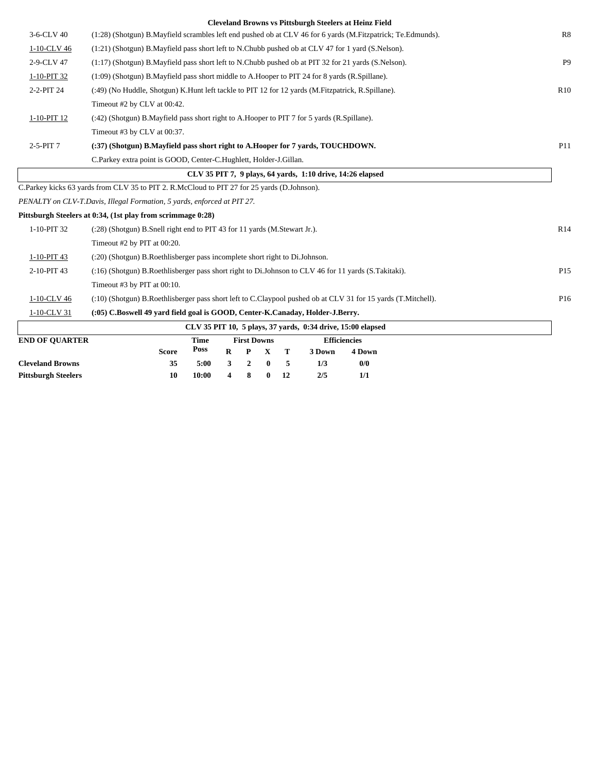|                       | <b>Cleveland Browns vs Pittsburgh Steelers at Heinz Field</b>                                                 |                 |
|-----------------------|---------------------------------------------------------------------------------------------------------------|-----------------|
| 3-6-CLV 40            | (1:28) (Shotgun) B.Mayfield scrambles left end pushed ob at CLV 46 for 6 yards (M.Fitzpatrick; Te.Edmunds).   | R8              |
| 1-10-CLV 46           | (1:21) (Shotgun) B.Mayfield pass short left to N.Chubb pushed ob at CLV 47 for 1 yard (S.Nelson).             |                 |
| 2-9-CLV 47            | (1:17) (Shotgun) B.Mayfield pass short left to N.Chubb pushed ob at PIT 32 for 21 yards (S.Nelson).           | <b>P9</b>       |
| 1-10-PIT 32           | (1:09) (Shotgun) B.Mayfield pass short middle to A.Hooper to PIT 24 for 8 yards (R.Spillane).                 |                 |
| 2-2-PIT 24            | (:49) (No Huddle, Shotgun) K.Hunt left tackle to PIT 12 for 12 yards (M.Fitzpatrick, R.Spillane).             | R10             |
|                       | Timeout #2 by CLV at 00:42.                                                                                   |                 |
| 1-10-PIT 12           | (:42) (Shotgun) B. Mayfield pass short right to A. Hooper to PIT 7 for 5 yards (R. Spillane).                 |                 |
|                       | Timeout #3 by CLV at 00:37.                                                                                   |                 |
| 2-5-PIT 7             | (:37) (Shotgun) B.Mayfield pass short right to A.Hooper for 7 vards, TOUCHDOWN.                               | P11             |
|                       | C.Parkey extra point is GOOD, Center-C.Hughlett, Holder-J.Gillan.                                             |                 |
|                       | CLV 35 PIT 7, 9 plays, 64 vards, 1:10 drive, 14:26 elapsed                                                    |                 |
|                       | C.Parkey kicks 63 yards from CLV 35 to PIT 2. R.McCloud to PIT 27 for 25 yards (D.Johnson).                   |                 |
|                       | PENALTY on CLV-T.Davis, Illegal Formation, 5 yards, enforced at PIT 27.                                       |                 |
|                       | Pittsburgh Steelers at 0:34, (1st play from scrimmage 0:28)                                                   |                 |
| 1-10-PIT 32           | (:28) (Shotgun) B.Snell right end to PIT 43 for 11 yards (M.Stewart Jr.).                                     | R14             |
|                       | Timeout #2 by PIT at 00:20.                                                                                   |                 |
| 1-10-PIT 43           | (:20) (Shotgun) B.Roethlisberger pass incomplete short right to Di.Johnson.                                   |                 |
| 2-10-PIT 43           | (16) (Shotgun) B.Roethlisberger pass short right to Di.Johnson to CLV 46 for 11 yards (S.Takitaki).           | P <sub>15</sub> |
|                       | Timeout #3 by PIT at 00:10.                                                                                   |                 |
| 1-10-CLV 46           | (:10) (Shotgun) B.Roethlisberger pass short left to C.Claypool pushed ob at CLV 31 for 15 yards (T.Mitchell). | P <sub>16</sub> |
| 1-10-CLV 31           | (:05) C.Boswell 49 yard field goal is GOOD, Center-K.Canaday, Holder-J.Berry.                                 |                 |
|                       | CLV 35 PIT 10, 5 plays, 37 yards, 0:34 drive, 15:00 elapsed                                                   |                 |
| <b>END OF OUARTER</b> | <b>Efficiencies</b><br><b>First Downs</b><br><b>Time</b>                                                      |                 |
|                       | Poss<br>R<br>P<br>$\mathbf X$<br>т<br>3 Down<br>4 Down<br><b>Score</b>                                        |                 |

**Cleveland Browns 35 5:00 3 2 0 5 1/3 0/0 Pittsburgh Steelers 10 10:00 4 8 0 12 2/5 1/1**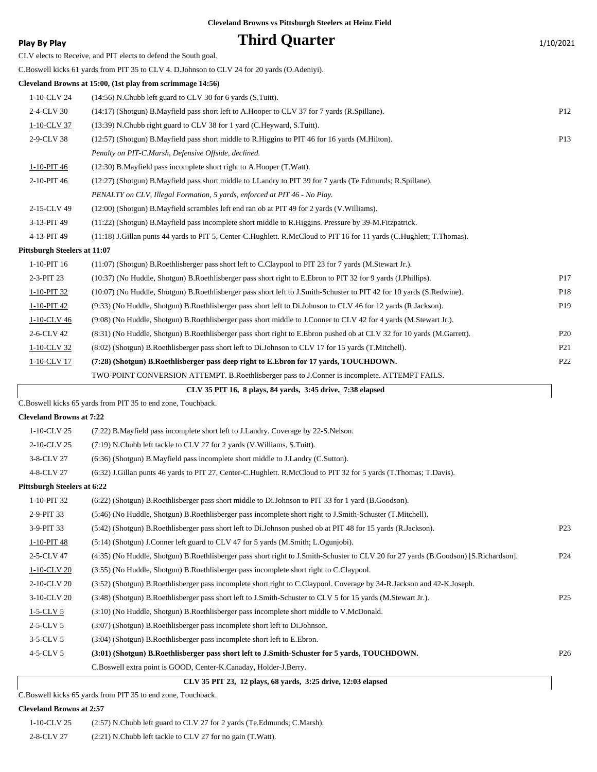| <b>Play By Play</b>          | <b>Third Quarter</b>                                                                                                   | 1/10/2021       |
|------------------------------|------------------------------------------------------------------------------------------------------------------------|-----------------|
|                              | CLV elects to Receive, and PIT elects to defend the South goal.                                                        |                 |
|                              | C.Boswell kicks 61 yards from PIT 35 to CLV 4. D.Johnson to CLV 24 for 20 yards (O.Adeniyi).                           |                 |
|                              | Cleveland Browns at 15:00, (1st play from scrimmage 14:56)                                                             |                 |
| 1-10-CLV 24                  | (14:56) N.Chubb left guard to CLV 30 for 6 yards (S.Tuitt).                                                            |                 |
| 2-4-CLV 30                   | (14:17) (Shotgun) B.Mayfield pass short left to A.Hooper to CLV 37 for 7 yards (R.Spillane).                           | P <sub>12</sub> |
| 1-10-CLV 37                  | (13:39) N.Chubb right guard to CLV 38 for 1 yard (C.Heyward, S.Tuitt).                                                 |                 |
| 2-9-CLV 38                   | (12:57) (Shotgun) B. Mayfield pass short middle to R. Higgins to PIT 46 for 16 yards (M. Hilton).                      | P13             |
|                              | Penalty on PIT-C.Marsh, Defensive Offside, declined.                                                                   |                 |
| 1-10-PIT 46                  | (12:30) B. Mayfield pass incomplete short right to A. Hooper (T. Watt).                                                |                 |
| 2-10-PIT 46                  | (12:27) (Shotgun) B. Mayfield pass short middle to J. Landry to PIT 39 for 7 yards (Te. Edmunds; R. Spillane).         |                 |
|                              | PENALTY on CLV, Illegal Formation, 5 yards, enforced at PIT 46 - No Play.                                              |                 |
| 2-15-CLV 49                  | (12:00) (Shotgun) B.Mayfield scrambles left end ran ob at PIT 49 for 2 yards (V.Williams).                             |                 |
| 3-13-PIT 49                  | (11:22) (Shotgun) B.Mayfield pass incomplete short middle to R.Higgins. Pressure by 39-M.Fitzpatrick.                  |                 |
| 4-13-PIT 49                  | (11:18) J.Gillan punts 44 yards to PIT 5, Center-C.Hughlett. R.McCloud to PIT 16 for 11 yards (C.Hughlett; T.Thomas).  |                 |
| Pittsburgh Steelers at 11:07 |                                                                                                                        |                 |
| 1-10-PIT 16                  | (11:07) (Shotgun) B.Roethlisberger pass short left to C.Claypool to PIT 23 for 7 yards (M.Stewart Jr.).                |                 |
| 2-3-PIT 23                   | (10:37) (No Huddle, Shotgun) B.Roethlisberger pass short right to E.Ebron to PIT 32 for 9 yards (J.Phillips).          | P17             |
| 1-10-PIT 32                  | (10:07) (No Huddle, Shotgun) B.Roethlisberger pass short left to J.Smith-Schuster to PIT 42 for 10 yards (S.Redwine).  | P18             |
| 1-10-PIT 42                  | (9:33) (No Huddle, Shotgun) B.Roethlisberger pass short left to Di.Johnson to CLV 46 for 12 yards (R.Jackson).         | P <sub>19</sub> |
| 1-10-CLV 46                  | (9:08) (No Huddle, Shotgun) B.Roethlisberger pass short middle to J.Conner to CLV 42 for 4 yards (M.Stewart Jr.).      |                 |
| 2-6-CLV 42                   | (8:31) (No Huddle, Shotgun) B.Roethlisberger pass short right to E.Ebron pushed ob at CLV 32 for 10 yards (M.Garrett). | P <sub>20</sub> |
| 1-10-CLV 32                  | (8:02) (Shotgun) B.Roethlisberger pass short left to Di.Johnson to CLV 17 for 15 yards (T.Mitchell).                   | P <sub>21</sub> |
| 1-10-CLV 17                  | (7:28) (Shotgun) B.Roethlisberger pass deep right to E.Ebron for 17 yards, TOUCHDOWN.                                  | P <sub>22</sub> |
|                              | TWO-POINT CONVERSION ATTEMPT. B.Roethlisberger pass to J.Conner is incomplete. ATTEMPT FAILS.                          |                 |
|                              | CLV 35 PIT 16, 8 plays, 84 yards, 3:45 drive, 7:38 elapsed                                                             |                 |

C.Boswell kicks 65 yards from PIT 35 to end zone, Touchback.

#### **Cleveland Browns at 7:22**

 $\sqrt{ }$ 

| <b>Cleveland Browns at 7:22</b>    |                                                                                                                                      |                 |
|------------------------------------|--------------------------------------------------------------------------------------------------------------------------------------|-----------------|
| $1-10$ -CLV 25                     | (7:22) B. Mayfield pass incomplete short left to J. Landry. Coverage by 22-S. Nelson.                                                |                 |
| 2-10-CLV 25                        | (7:19) N.Chubb left tackle to CLV 27 for 2 yards (V.Williams, S.Tuitt).                                                              |                 |
| 3-8-CLV 27                         | (6:36) (Shotgun) B.Mayfield pass incomplete short middle to J.Landry (C.Sutton).                                                     |                 |
| 4-8-CLV 27                         | (6:32) J.Gillan punts 46 yards to PIT 27, Center-C.Hughlett. R.McCloud to PIT 32 for 5 yards (T.Thomas; T.Davis).                    |                 |
| <b>Pittsburgh Steelers at 6:22</b> |                                                                                                                                      |                 |
| 1-10-PIT 32                        | (6:22) (Shotgun) B.Roethlisberger pass short middle to Di.Johnson to PIT 33 for 1 yard (B.Goodson).                                  |                 |
| 2-9-PIT 33                         | (5:46) (No Huddle, Shotgun) B.Roethlisberger pass incomplete short right to J.Smith-Schuster (T.Mitchell).                           |                 |
| 3-9-PIT 33                         | (5:42) (Shotgun) B.Roethlisberger pass short left to Di.Johnson pushed ob at PIT 48 for 15 yards (R.Jackson).                        | P <sub>23</sub> |
| 1-10-PIT 48                        | (5.14) (Shotgun) J.Conner left guard to CLV 47 for 5 yards (M.Smith; L.Ogunjobi).                                                    |                 |
| 2-5-CLV 47                         | (4:35) (No Huddle, Shotgun) B.Roethlisberger pass short right to J.Smith-Schuster to CLV 20 for 27 yards (B.Goodson) [S.Richardson]. | P <sub>24</sub> |
| 1-10-CLV 20                        | (3:55) (No Huddle, Shotgun) B.Roethlisberger pass incomplete short right to C.Claypool.                                              |                 |
| 2-10-CLV 20                        | (3:52) (Shotgun) B.Roethlisberger pass incomplete short right to C.Claypool. Coverage by 34-R.Jackson and 42-K.Joseph.               |                 |
| 3-10-CLV 20                        | (3:48) (Shotgun) B.Roethlisberger pass short left to J.Smith-Schuster to CLV 5 for 15 yards (M.Stewart Jr.).                         | P <sub>25</sub> |
| $1-5$ -CLV 5                       | (3:10) (No Huddle, Shotgun) B.Roethlisberger pass incomplete short middle to V.McDonald.                                             |                 |
| $2-5$ -CLV 5                       | (3:07) (Shotgun) B.Roethlisberger pass incomplete short left to Di.Johnson.                                                          |                 |
| $3-5$ -CLV 5                       | (3:04) (Shotgun) B.Roethlisberger pass incomplete short left to E.Ebron.                                                             |                 |
| $4-5$ -CLV 5                       | (3:01) (Shotgun) B.Roethlisberger pass short left to J.Smith-Schuster for 5 yards, TOUCHDOWN.                                        | P <sub>26</sub> |
|                                    | C.Boswell extra point is GOOD, Center-K.Canaday, Holder-J.Berry.                                                                     |                 |

 **CLV 35 PIT 23, 12 plays, 68 yards, 3:25 drive, 12:03 elapsed**

C.Boswell kicks 65 yards from PIT 35 to end zone, Touchback.

#### **Cleveland Browns at 2:57**

| 1-10-CLV 25 | $(2:57)$ N.Chubb left guard to CLV 27 for 2 yards (Te.Edmunds; C.Marsh). |
|-------------|--------------------------------------------------------------------------|
| 2-8-CLV 27  | $(2:21)$ N.Chubb left tackle to CLV 27 for no gain $(T.Wat)$ .           |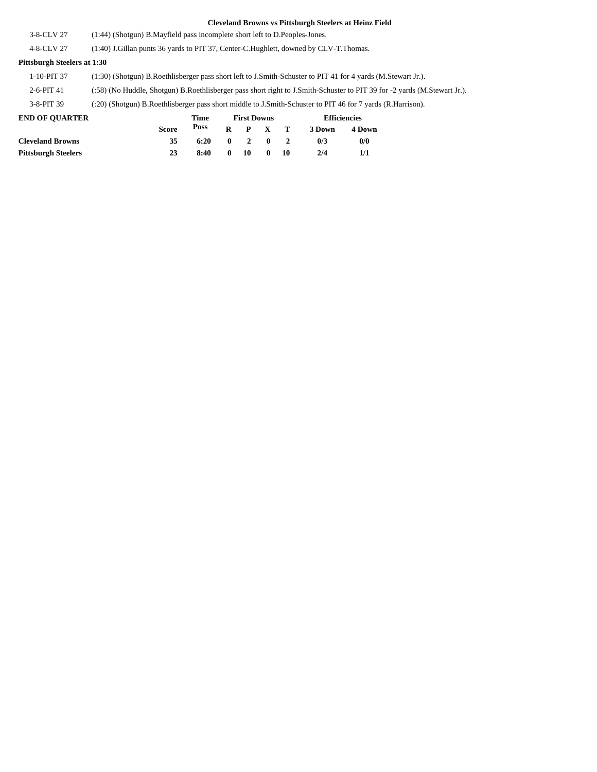| <b>END OF OUARTER</b>              | <b>Efficiencies</b><br>Time<br><b>First Downs</b>                                                                        |  |  |  |  |  |  |  |
|------------------------------------|--------------------------------------------------------------------------------------------------------------------------|--|--|--|--|--|--|--|
| 3-8-PIT 39                         | (:20) (Shotgun) B.Roethlisberger pass short middle to J.Smith-Schuster to PIT 46 for 7 yards (R.Harrison).               |  |  |  |  |  |  |  |
| $2-6-PIT41$                        | (:58) (No Huddle, Shotgun) B.Roethlisberger pass short right to J.Smith-Schuster to PIT 39 for -2 yards (M.Stewart Jr.). |  |  |  |  |  |  |  |
| 1-10-PIT 37                        | (1:30) (Shotgun) B.Roethlisberger pass short left to J.Smith-Schuster to PIT 41 for 4 yards (M.Stewart Jr.).             |  |  |  |  |  |  |  |
| <b>Pittsburgh Steelers at 1:30</b> |                                                                                                                          |  |  |  |  |  |  |  |
| 4-8-CLV 27                         | (1:40) J.Gillan punts 36 yards to PIT 37, Center-C.Hughlett, downed by CLV-T.Thomas.                                     |  |  |  |  |  |  |  |
| 3-8-CLV 27                         | (1:44) (Shotgun) B. Mayfield pass incomplete short left to D. Peoples-Jones.                                             |  |  |  |  |  |  |  |

| <b>END OF OUARTER</b>      |              | Time |              | <b>First Downs</b> |              |    | <b>Efficiencies</b> |        |  |
|----------------------------|--------------|------|--------------|--------------------|--------------|----|---------------------|--------|--|
|                            | <b>Score</b> | Poss | $\mathbf{R}$ |                    | P X T        |    | 3 Down              | 4 Down |  |
| <b>Cleveland Browns</b>    | 35           | 6:20 | $\mathbf{0}$ | $\mathbf{2}$       | $\mathbf{0}$ |    | 0/3                 | 0/0    |  |
| <b>Pittsburgh Steelers</b> | 23           | 8:40 | 0            | 10                 | 0            | 10 | 2/4                 |        |  |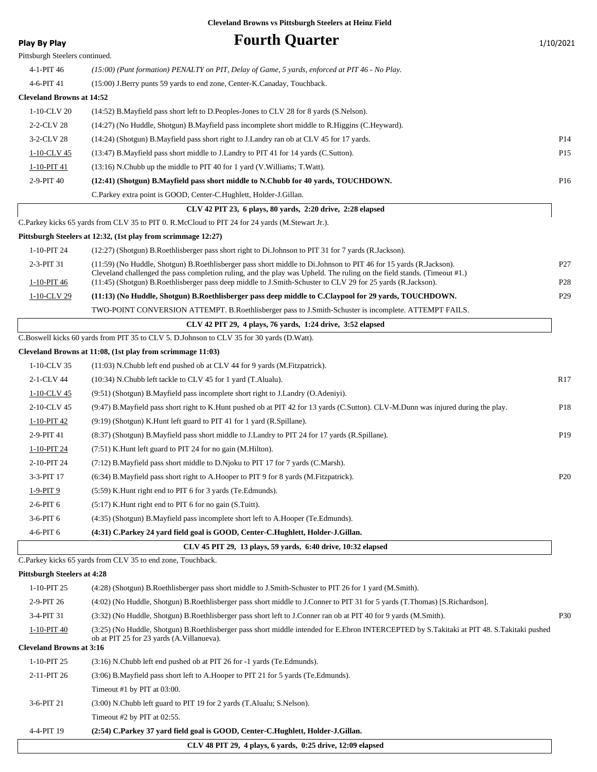| <b>Play By Play</b>                            | <b>Fourth Quarter</b>                                                                                                                                                                                                                        | 1/10/2021       |
|------------------------------------------------|----------------------------------------------------------------------------------------------------------------------------------------------------------------------------------------------------------------------------------------------|-----------------|
| Pittsburgh Steelers continued.                 |                                                                                                                                                                                                                                              |                 |
| 4-1-PIT 46                                     | (15:00) (Punt formation) PENALTY on PIT, Delay of Game, 5 yards, enforced at PIT 46 - No Play.                                                                                                                                               |                 |
| 4-6-PIT 41                                     | (15:00) J.Berry punts 59 yards to end zone, Center-K.Canaday, Touchback.                                                                                                                                                                     |                 |
| <b>Cleveland Browns at 14:52</b>               |                                                                                                                                                                                                                                              |                 |
| 1-10-CLV 20                                    | (14:52) B. Mayfield pass short left to D. Peoples-Jones to CLV 28 for 8 yards (S. Nelson).                                                                                                                                                   |                 |
| 2-2-CLV 28                                     | (14:27) (No Huddle, Shotgun) B.Mayfield pass incomplete short middle to R.Higgins (C.Heyward).                                                                                                                                               |                 |
| 3-2-CLV 28                                     | (14:24) (Shotgun) B. Mayfield pass short right to J. Landry ran ob at CLV 45 for 17 yards.                                                                                                                                                   | P <sub>14</sub> |
| 1-10-CLV 45                                    | (13:47) B. Mayfield pass short middle to J. Landry to PIT 41 for 14 yards (C. Sutton).                                                                                                                                                       | P <sub>15</sub> |
| 1-10-PIT 41                                    | $(13:16)$ N.Chubb up the middle to PIT 40 for 1 yard (V.Williams; T.Watt).                                                                                                                                                                   |                 |
| 2-9-PIT 40                                     | (12:41) (Shotgun) B.Mayfield pass short middle to N.Chubb for 40 yards, TOUCHDOWN.                                                                                                                                                           | P <sub>16</sub> |
|                                                | C.Parkey extra point is GOOD, Center-C.Hughlett, Holder-J.Gillan.                                                                                                                                                                            |                 |
|                                                | CLV 42 PIT 23, 6 plays, 80 yards, 2:20 drive, 2:28 elapsed                                                                                                                                                                                   |                 |
|                                                | C.Parkey kicks 65 yards from CLV 35 to PIT 0. R.McCloud to PIT 24 for 24 yards (M.Stewart Jr.).                                                                                                                                              |                 |
|                                                | Pittsburgh Steelers at 12:32, (1st play from scrimmage 12:27)                                                                                                                                                                                |                 |
| 1-10-PIT 24                                    | (12:27) (Shotgun) B.Roethlisberger pass short right to Di.Johnson to PIT 31 for 7 yards (R.Jackson).                                                                                                                                         |                 |
| 2-3-PIT 31                                     | (11:59) (No Huddle, Shotgun) B.Roethlisberger pass short middle to Di.Johnson to PIT 46 for 15 yards (R.Jackson).<br>Cleveland challenged the pass completion ruling, and the play was Upheld. The ruling on the field stands. (Timeout #1.) | P27             |
| 1-10-PIT 46                                    | (11:45) (Shotgun) B.Roethlisberger pass deep middle to J.Smith-Schuster to CLV 29 for 25 yards (R.Jackson).                                                                                                                                  | P <sub>28</sub> |
| 1-10-CLV 29                                    | (11:13) (No Huddle, Shotgun) B.Roethlisberger pass deep middle to C.Claypool for 29 yards, TOUCHDOWN.                                                                                                                                        | P <sub>29</sub> |
|                                                | TWO-POINT CONVERSION ATTEMPT. B.Roethlisberger pass to J.Smith-Schuster is incomplete. ATTEMPT FAILS.                                                                                                                                        |                 |
|                                                | CLV 42 PIT 29, 4 plays, 76 yards, 1:24 drive, 3:52 elapsed                                                                                                                                                                                   |                 |
|                                                | C.Boswell kicks 60 yards from PIT 35 to CLV 5. D.Johnson to CLV 35 for 30 yards (D.Watt).                                                                                                                                                    |                 |
| 1-10-CLV 35                                    | Cleveland Browns at 11:08, (1st play from scrimmage 11:03)                                                                                                                                                                                   |                 |
|                                                | $(11:03)$ N.Chubb left end pushed ob at CLV 44 for 9 yards (M.Fitzpatrick).                                                                                                                                                                  | R <sub>17</sub> |
| 2-1-CLV 44                                     | (10:34) N.Chubb left tackle to CLV 45 for 1 yard (T.Alualu).                                                                                                                                                                                 |                 |
| 1-10-CLV 45                                    | (9.51) (Shotgun) B.Mayfield pass incomplete short right to J.Landry (O.Adeniyi).                                                                                                                                                             |                 |
| 2-10-CLV 45                                    | (9:47) B.Mayfield pass short right to K.Hunt pushed ob at PIT 42 for 13 yards (C.Sutton). CLV-M.Dunn was injured during the play.                                                                                                            | P <sub>18</sub> |
| $1-10-PIT$ 42                                  | $(9:19)$ (Shotgun) K. Hunt left guard to PIT 41 for 1 yard (R. Spillane).                                                                                                                                                                    |                 |
| 2-9-PIT 41                                     | (8.37) (Shotgun) B.Mayfield pass short middle to J.Landry to PIT 24 for 17 yards (R.Spillane).                                                                                                                                               | P19             |
| 1-10-PIT 24                                    | (7:51) K. Hunt left guard to PIT 24 for no gain (M. Hilton).                                                                                                                                                                                 |                 |
| 2-10-PIT 24                                    | $(7.12)$ B.Mayfield pass short middle to D.Njoku to PIT 17 for 7 yards (C.Marsh).                                                                                                                                                            |                 |
| 3-3-PIT 17                                     | (6:34) B.Mayfield pass short right to A.Hooper to PIT 9 for 8 yards (M.Fitzpatrick).                                                                                                                                                         | P <sub>20</sub> |
| $1-9-PIT9$                                     | (5:59) K. Hunt right end to PIT 6 for 3 yards (Te. Edmunds).                                                                                                                                                                                 |                 |
| 2-6-PIT 6                                      | (5:17) K. Hunt right end to PIT 6 for no gain (S. Tuitt).                                                                                                                                                                                    |                 |
| $3-6-PIT6$                                     | (4:35) (Shotgun) B.Mayfield pass incomplete short left to A.Hooper (Te.Edmunds).                                                                                                                                                             |                 |
| 4-6-PIT 6                                      | (4:31) C.Parkey 24 yard field goal is GOOD, Center-C.Hughlett, Holder-J.Gillan.                                                                                                                                                              |                 |
|                                                | CLV 45 PIT 29, 13 plays, 59 yards, 6:40 drive, 10:32 elapsed                                                                                                                                                                                 |                 |
|                                                | C. Parkey kicks 65 yards from CLV 35 to end zone, Touchback.                                                                                                                                                                                 |                 |
| <b>Pittsburgh Steelers at 4:28</b>             |                                                                                                                                                                                                                                              |                 |
| 1-10-PIT 25                                    | (4:28) (Shotgun) B.Roethlisberger pass short middle to J.Smith-Schuster to PIT 26 for 1 yard (M.Smith).                                                                                                                                      |                 |
| 2-9-PIT 26                                     | (4:02) (No Huddle, Shotgun) B.Roethlisberger pass short middle to J.Conner to PIT 31 for 5 yards (T.Thomas) [S.Richardson].                                                                                                                  |                 |
| 3-4-PIT 31                                     | (3:32) (No Huddle, Shotgun) B.Roethlisberger pass short left to J.Conner ran ob at PIT 40 for 9 yards (M.Smith).                                                                                                                             | <b>P30</b>      |
| 1-10-PIT 40<br><b>Cleveland Browns at 3:16</b> | (3:25) (No Huddle, Shotgun) B.Roethlisberger pass short middle intended for E.Ebron INTERCEPTED by S.Takitaki at PIT 48. S.Takitaki pushed<br>ob at PIT 25 for 23 yards (A.Villanueva).                                                      |                 |
| 1-10-PIT 25                                    | (3:16) N.Chubb left end pushed ob at PIT 26 for -1 yards (Te. Edmunds).                                                                                                                                                                      |                 |
| 2-11-PIT 26                                    | (3:06) B. Mayfield pass short left to A. Hooper to PIT 21 for 5 yards (Te. Edmunds).                                                                                                                                                         |                 |
|                                                | Timeout #1 by PIT at 03:00.                                                                                                                                                                                                                  |                 |
| 3-6-PIT 21                                     | (3:00) N.Chubb left guard to PIT 19 for 2 yards (T.Alualu; S.Nelson).                                                                                                                                                                        |                 |
|                                                | Timeout #2 by PIT at $02:55$ .                                                                                                                                                                                                               |                 |
| 4-4-PIT 19                                     | (2:54) C.Parkey 37 yard field goal is GOOD, Center-C.Hughlett, Holder-J.Gillan.                                                                                                                                                              |                 |

 **CLV 48 PIT 29, 4 plays, 6 yards, 0:25 drive, 12:09 elapsed**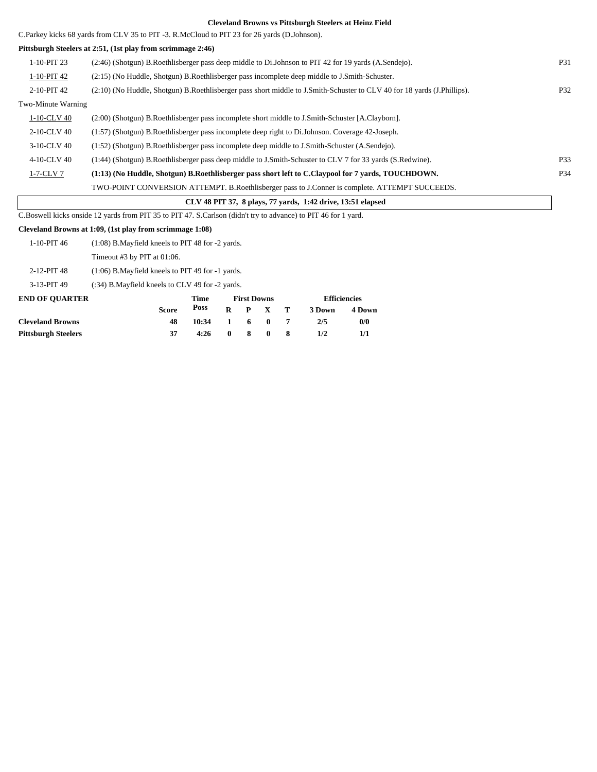C.Parkey kicks 68 yards from CLV 35 to PIT -3. R.McCloud to PIT 23 for 26 yards (D.Johnson).

#### **Pittsburgh Steelers at 2:51, (1st play from scrimmage 2:46)**

| 1-10-PIT 23                                                 | (2:46) (Shotgun) B.Roethlisberger pass deep middle to Di.Johnson to PIT 42 for 19 vards (A.Sendejo).                    | <b>P31</b> |  |  |  |  |
|-------------------------------------------------------------|-------------------------------------------------------------------------------------------------------------------------|------------|--|--|--|--|
| 1-10-PIT 42                                                 | (2.15) (No Huddle, Shotgun) B.Roethlisberger pass incomplete deep middle to J.Smith-Schuster.                           |            |  |  |  |  |
| 2-10-PIT 42                                                 | (2:10) (No Huddle, Shotgun) B.Roethlisberger pass short middle to J.Smith-Schuster to CLV 40 for 18 yards (J.Phillips). | P32        |  |  |  |  |
| Two-Minute Warning                                          |                                                                                                                         |            |  |  |  |  |
| 1-10-CLV 40                                                 | (2:00) (Shotgun) B.Roethlisberger pass incomplete short middle to J.Smith-Schuster [A.Clayborn].                        |            |  |  |  |  |
| 2-10-CLV 40                                                 | (1:57) (Shotgun) B.Roethlisberger pass incomplete deep right to Di.Johnson. Coverage 42-Joseph.                         |            |  |  |  |  |
| 3-10-CLV 40                                                 | (1:52) (Shotgun) B.Roethlisberger pass incomplete deep middle to J.Smith-Schuster (A.Sendejo).                          |            |  |  |  |  |
| 4-10-CLV 40                                                 | (1:44) (Shotgun) B.Roethlisberger pass deep middle to J.Smith-Schuster to CLV 7 for 33 yards (S.Redwine).               | P33        |  |  |  |  |
| $1-7$ -CLV $7$                                              | (1:13) (No Huddle, Shotgun) B.Roethlisberger pass short left to C.Claypool for 7 yards, TOUCHDOWN.                      | P34        |  |  |  |  |
|                                                             | TWO-POINT CONVERSION ATTEMPT. B.Roethlisberger pass to J.Conner is complete. ATTEMPT SUCCEEDS.                          |            |  |  |  |  |
| CLV 48 PIT 37, 8 plays, 77 yards, 1:42 drive, 13:51 elapsed |                                                                                                                         |            |  |  |  |  |
|                                                             |                                                                                                                         |            |  |  |  |  |

**Efficiencies**

C.Boswell kicks onside 12 yards from PIT 35 to PIT 47. S.Carlson (didn't try to advance) to PIT 46 for 1 yard.

#### **Cleveland Browns at 1:09, (1st play from scrimmage 1:08)**

|                       | Score                                                 | <b>Poss</b> | R | P.                 | $\mathbf{x}$ |  |
|-----------------------|-------------------------------------------------------|-------------|---|--------------------|--------------|--|
| <b>END OF OUARTER</b> |                                                       | Time        |   | <b>First Downs</b> |              |  |
| 3-13-PIT 49           | (:34) B. Mayfield kneels to CLV 49 for -2 yards.      |             |   |                    |              |  |
| 2-12-PIT 48           | $(1:06)$ B. Mayfield kneels to PIT 49 for $-1$ yards. |             |   |                    |              |  |
|                       | Timeout #3 by PIT at $01:06$ .                        |             |   |                    |              |  |
| $1-10-PIT46$          | $(1:08)$ B. Mayfield kneels to PIT 48 for $-2$ yards. |             |   |                    |              |  |

|                         | <b>Score</b> |                 |  |  | Poss R P X T 3Down | 4 Down |
|-------------------------|--------------|-----------------|--|--|--------------------|--------|
| <b>Cleveland Browns</b> |              | $10:34$ 1 6 0 7 |  |  | 2/5                | 0/0    |
| Pittsburgh Steelers     |              | $4:26$ 0 8 0 8  |  |  | 1/2                |        |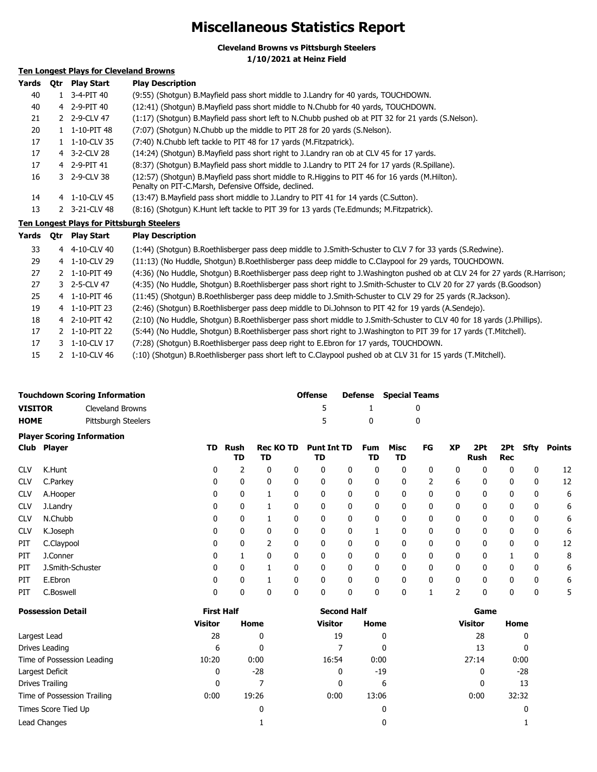### **Miscellaneous Statistics Report**

**Cleveland Browns vs Pittsburgh Steelers**

**1/10/2021 at Heinz Field**

#### **Ten Longest Plays for Cleveland Browns**

| Yards | Otr | <b>Play Start</b>                                | <b>Play Description</b>                                                                                                                                |
|-------|-----|--------------------------------------------------|--------------------------------------------------------------------------------------------------------------------------------------------------------|
| 40    |     | $1 \quad 3 - 4 - PIT 40$                         | (9:55) (Shotgun) B.Mayfield pass short middle to J.Landry for 40 yards, TOUCHDOWN.                                                                     |
| 40    |     | 4 2-9-PIT 40                                     | (12:41) (Shotgun) B.Mayfield pass short middle to N.Chubb for 40 yards, TOUCHDOWN.                                                                     |
| 21    |     | 2 2-9-CLV 47                                     | (1:17) (Shotgun) B.Mayfield pass short left to N.Chubb pushed ob at PIT 32 for 21 yards (S.Nelson).                                                    |
| 20    |     | 1 1-10-PIT 48                                    | (7:07) (Shotgun) N.Chubb up the middle to PIT 28 for 20 yards (S.Nelson).                                                                              |
| 17    |     | $1 \quad 1 - 10 - CLV$ 35                        | (7:40) N.Chubb left tackle to PIT 48 for 17 yards (M.Fitzpatrick).                                                                                     |
| 17    |     | 4 3-2-CLV 28                                     | (14:24) (Shotgun) B.Mayfield pass short right to J.Landry ran ob at CLV 45 for 17 yards.                                                               |
| 17    |     | 4 2-9-PIT 41                                     | (8:37) (Shotqun) B.Mayfield pass short middle to J.Landry to PIT 24 for 17 yards (R.Spillane).                                                         |
| 16    |     | 3 2-9-CLV 38                                     | (12:57) (Shotgun) B.Mayfield pass short middle to R.Higgins to PIT 46 for 16 yards (M.Hilton).<br>Penalty on PIT-C.Marsh, Defensive Offside, declined. |
| 14    |     | 4 1-10-CLV 45                                    | (13:47) B. Mayfield pass short middle to J. Landry to PIT 41 for 14 yards (C. Sutton).                                                                 |
| 13    |     | 2 3-21-CLV 48                                    | (8:16) (Shotgun) K.Hunt left tackle to PIT 39 for 13 yards (Te.Edmunds; M.Fitzpatrick).                                                                |
|       |     | <b>Ten Longest Plays for Pittsburgh Steelers</b> |                                                                                                                                                        |
|       |     | Yards Otr PlayStart                              | <b>Play Description</b>                                                                                                                                |

| i di us | vu | <b>Flay Stalt</b>         | PIAY DESCRIPTION                                                                                                           |
|---------|----|---------------------------|----------------------------------------------------------------------------------------------------------------------------|
| 33      |    | 4 4-10-CLV 40             | (1:44) (Shotgun) B.Roethlisberger pass deep middle to J.Smith-Schuster to CLV 7 for 33 yards (S.Redwine).                  |
| 29      |    | 4 1-10-CLV 29             | (11:13) (No Huddle, Shotgun) B.Roethlisberger pass deep middle to C.Claypool for 29 yards, TOUCHDOWN.                      |
| 27      |    | $2 \quad 1 - 10 - PIT$ 49 | (4:36) (No Huddle, Shotgun) B.Roethlisberger pass deep right to J.Washington pushed ob at CLV 24 for 27 yards (R.Harrison; |
| 27      |    | 3 2-5-CLV 47              | (4:35) (No Huddle, Shotgun) B.Roethlisberger pass short right to J.Smith-Schuster to CLV 20 for 27 yards (B.Goodson)       |
| 25      |    | 4 1-10-PIT 46             | (11:45) (Shotgun) B.Roethlisberger pass deep middle to J.Smith-Schuster to CLV 29 for 25 yards (R.Jackson).                |
| 19      |    | 4 1-10-PIT 23             | (2:46) (Shotgun) B.Roethlisberger pass deep middle to Di.Johnson to PIT 42 for 19 yards (A.Sendejo).                       |
| 18      |    | 4 2-10-PIT 42             | (2:10) (No Huddle, Shotgun) B.Roethlisberger pass short middle to J.Smith-Schuster to CLV 40 for 18 yards (J.Phillips).    |
| 17      |    | 2 1-10-PIT 22             | (5:44) (No Huddle, Shotgun) B.Roethlisberger pass short right to J.Washington to PIT 39 for 17 yards (T.Mitchell).         |
| 17      |    | 3 1-10-CLV 17             | (7:28) (Shotgun) B. Roethlisberger pass deep right to E. Ebron for 17 yards, TOUCHDOWN.                                    |
| 15      |    | 2 1-10-CLV 46             | (:10) (Shotgun) B.Roethlisberger pass short left to C.Claypool pushed ob at CLV 31 for 15 yards (T.Mitchell).              |
|         |    |                           |                                                                                                                            |

|                | <b>Touchdown Scoring Information</b> | <b>Offense</b> |              | <b>Defense</b> Special Teams |
|----------------|--------------------------------------|----------------|--------------|------------------------------|
| <b>VISITOR</b> | Cleveland Browns                     |                | $\mathbf{1}$ |                              |
| <b>HOME</b>    | Pittsburgh Steelers                  | -5.            | $\mathbf{u}$ |                              |
|                | <b>Player Scoring Information</b>    |                |              |                              |

|            | Club Player      | TD. | Rush<br>TD | <b>Rec KO TD</b><br>TD |   | <b>Punt Int TD</b><br>TD |              | <b>Fum</b><br>TD | Misc<br>TD   | FG | <b>XP</b> | 2Pt<br>Rush | 2Pt<br><b>Rec</b> | Sfty         | Points |
|------------|------------------|-----|------------|------------------------|---|--------------------------|--------------|------------------|--------------|----|-----------|-------------|-------------------|--------------|--------|
| <b>CLV</b> | K.Hunt           | 0   |            | 0                      | 0 | 0                        | 0            | 0                | $\Omega$     | 0  | 0         | 0           | 0                 | 0            | 12     |
| <b>CLV</b> | C.Parkey         | 0   | 0          | 0                      | 0 | 0                        | 0            | $\mathbf 0$      | $\mathbf{0}$ |    | 6         | 0           | 0                 | 0            | 12     |
| <b>CLV</b> | A.Hooper         | 0   | 0          |                        |   | 0                        | 0            | 0                | $\mathbf{0}$ | 0  | 0         | 0           | 0                 | 0            | 6      |
| <b>CLV</b> | J.Landry         | 0   | 0          |                        |   | 0                        | 0            | 0                | 0            | 0  | 0         | 0           | 0                 | 0            | 6      |
| <b>CLV</b> | N.Chubb          | 0   | 0          |                        |   | 0                        | 0            | $\mathbf 0$      | 0            | 0  | 0         | 0           | 0                 | 0            | 6      |
| <b>CLV</b> | K.Joseph         | 0   | 0          | 0                      | 0 | 0                        | 0            |                  |              | 0  | 0         | 0           | 0                 | 0            | 6      |
| PIT        | C.Claypool       | 0   | 0          |                        |   | 0                        | 0            | 0                | 0            | 0  | 0         | 0           | 0                 | 0            | 12     |
| PIT        | J.Conner         | 0   |            | 0                      | 0 | 0                        | 0            | 0                | $\mathbf{0}$ | 0  | 0         | 0           |                   | 0            | 8      |
| PIT        | J.Smith-Schuster | 0   | 0          |                        | 0 | 0                        | $\mathbf{0}$ | 0                | $\Omega$     | 0  | 0         | 0           | $\mathbf{0}$      | $\mathbf{0}$ | 6      |
| PIT        | E.Ebron          | 0   | 0          |                        | 0 | 0                        | $\mathbf{0}$ | 0                | $\Omega$     | 0  | 0         | 0           | $\mathbf{0}$      | $\mathbf{0}$ | 6      |
| PIT        | C.Boswell        | 0   | 0          | 0                      | 0 | 0                        | 0            | 0                | 0            |    |           | 0           | 0                 | 0            |        |

| <b>Possession Detail</b>    | <b>First Half</b> |       | <b>Second Half</b> |       | Game           |       |  |
|-----------------------------|-------------------|-------|--------------------|-------|----------------|-------|--|
|                             | <b>Visitor</b>    | Home  | <b>Visitor</b>     | Home  | <b>Visitor</b> | Home  |  |
| Largest Lead                | 28                | 0     | 19                 | 0     | 28             |       |  |
| Drives Leading              | 6                 | 0     |                    | 0     | 13             |       |  |
| Time of Possession Leading  | 10:20             | 0:00  | 16:54              | 0:00  | 27:14          | 0:00  |  |
| Largest Deficit             | 0                 | -28   | 0                  | $-19$ | 0              | -28   |  |
| Drives Trailing             | 0                 |       | 0                  | 6     |                | 13    |  |
| Time of Possession Trailing | 0:00              | 19:26 | 0:00               | 13:06 | 0:00           | 32:32 |  |
| Times Score Tied Up         |                   | 0     |                    | 0     |                |       |  |
| Lead Changes                |                   |       |                    | 0     |                |       |  |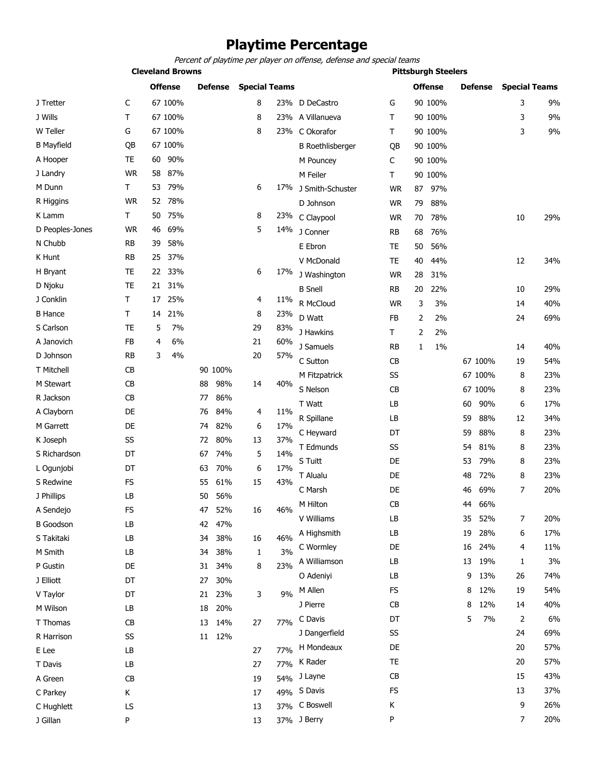### **Playtime Percentage**

Percent of playtime per player on offense, defense and special teams

| <b>Cleveland Browns</b> |           |                |         |    |         |                      |     |                         |           | <b>Pittsburgh Steelers</b> |                |    |            |                      |            |
|-------------------------|-----------|----------------|---------|----|---------|----------------------|-----|-------------------------|-----------|----------------------------|----------------|----|------------|----------------------|------------|
|                         |           | <b>Offense</b> |         |    | Defense | <b>Special Teams</b> |     |                         |           |                            | <b>Offense</b> |    | Defense    | <b>Special Teams</b> |            |
| J Tretter               | C         |                | 67 100% |    |         | 8                    |     | 23% D DeCastro          | G         |                            | 90 100%        |    |            | 3                    | 9%         |
| J Wills                 | т         |                | 67 100% |    |         | 8                    |     | 23% A Villanueva        | т         |                            | 90 100%        |    |            | 3                    | 9%         |
| W Teller                | G         |                | 67 100% |    |         | 8                    |     | 23% C Okorafor          | Τ         |                            | 90 100%        |    |            | 3                    | 9%         |
| <b>B Mayfield</b>       | QB        |                | 67 100% |    |         |                      |     | <b>B</b> Roethlisberger | QB        |                            | 90 100%        |    |            |                      |            |
| A Hooper                | TE        | 60             | 90%     |    |         |                      |     | M Pouncey               | C         |                            | 90 100%        |    |            |                      |            |
| J Landry                | <b>WR</b> | 58             | 87%     |    |         |                      |     | M Feiler                | т         |                            | 90 100%        |    |            |                      |            |
| M Dunn                  | Т         | 53             | 79%     |    |         | 6                    |     | 17% J Smith-Schuster    | <b>WR</b> | 87                         | 97%            |    |            |                      |            |
| R Higgins               | <b>WR</b> |                | 52 78%  |    |         |                      |     | D Johnson               | <b>WR</b> | 79                         | 88%            |    |            |                      |            |
| K Lamm                  | Τ         | 50             | 75%     |    |         | 8                    |     | 23% C Claypool          | <b>WR</b> | 70                         | 78%            |    |            | 10                   | 29%        |
| D Peoples-Jones         | <b>WR</b> | 46             | 69%     |    |         | 5                    | 14% | J Conner                | <b>RB</b> | 68                         | 76%            |    |            |                      |            |
| N Chubb                 | RB        | 39             | 58%     |    |         |                      |     | E Ebron                 | TE        | 50                         | 56%            |    |            |                      |            |
| K Hunt                  | RB        | 25             | 37%     |    |         |                      |     | V McDonald              | TE        | 40                         | 44%            |    |            | 12                   | 34%        |
| H Bryant                | TE        |                | 22 33%  |    |         | 6                    | 17% | J Washington            | <b>WR</b> | 28                         | 31%            |    |            |                      |            |
| D Njoku                 | TE        | 21             | 31%     |    |         |                      |     | <b>B</b> Snell          | <b>RB</b> | 20                         | 22%            |    |            | 10                   | 29%        |
| J Conklin               | т         | 17             | 25%     |    |         | 4                    | 11% | R McCloud               | <b>WR</b> | 3                          | 3%             |    |            | 14                   | 40%        |
| <b>B</b> Hance          | т         | 14             | 21%     |    |         | 8                    | 23% | D Watt                  | FB        | 2                          | 2%             |    |            | 24                   | 69%        |
| S Carlson               | TE        | 5              | 7%      |    |         | 29                   | 83% | J Hawkins               | Τ         | 2                          | 2%             |    |            |                      |            |
| A Janovich              | FB        | 4              | 6%      |    |         | 21                   | 60% | J Samuels               | RB        | 1                          | 1%             |    |            | 14                   | 40%        |
| D Johnson               | RB        | 3              | 4%      |    |         | 20                   | 57% | C Sutton                | CB        |                            |                |    | 67 100%    | 19                   | 54%        |
| T Mitchell              | CВ        |                |         |    | 90 100% |                      |     | M Fitzpatrick           | SS        |                            |                |    | 67 100%    | 8                    | 23%        |
| M Stewart               | CB        |                |         | 88 | 98%     | 14                   | 40% | S Nelson                | CВ        |                            |                |    | 67 100%    | 8                    | 23%        |
| R Jackson               | CB        |                |         | 77 | 86%     |                      |     | T Watt                  | LB        |                            |                | 60 | 90%        | 6                    | 17%        |
| A Clayborn              | DE        |                |         | 76 | 84%     | 4                    | 11% | R Spillane              | LB        |                            |                | 59 | 88%        | 12                   | 34%        |
| M Garrett               | DE        |                |         | 74 | 82%     | 6                    | 17% | C Heyward               | DT        |                            |                | 59 | 88%        | 8                    | 23%        |
| K Joseph                | SS        |                |         | 72 | 80%     | 13                   | 37% | T Edmunds               | SS        |                            |                | 54 | 81%        | 8                    | 23%        |
| S Richardson            | DT        |                |         | 67 | 74%     | 5                    | 14% | S Tuitt                 | DE        |                            |                | 53 | 79%        |                      | 23%        |
| L Ogunjobi              | DT        |                |         | 63 | 70%     | 6                    | 17% |                         | DE        |                            |                |    |            | 8                    |            |
| S Redwine               | <b>FS</b> |                |         | 55 | 61%     | 15                   | 43% | T Alualu                | DE        |                            |                | 48 | 72%<br>69% | 8<br>7               | 23%<br>20% |
| J Phillips              | LB        |                |         | 50 | 56%     |                      |     | C Marsh<br>M Hilton     | CB        |                            |                | 46 | 44 66%     |                      |            |
| A Sendejo               | FS        |                |         | 47 | 52%     | 16                   | 46% |                         |           |                            |                |    |            |                      |            |
| <b>B</b> Goodson        | LB        |                |         | 42 | 47%     |                      |     | V Williams              | LB        |                            |                | 35 | 52%        | 7                    | 20%        |
| S Takitaki              | LВ        |                |         | 34 | 38%     | 16                   | 46% | A Highsmith             | LB        |                            |                | 19 | 28%        | 6                    | 17%        |
| M Smith                 | LB        |                |         | 34 | 38%     | 1                    | 3%  | C Wormley               | DE        |                            |                | 16 | 24%        | 4                    | 11%        |
| P Gustin                | DE        |                |         | 31 | 34%     | 8                    | 23% | A Williamson            | LB        |                            |                | 13 | 19%        | 1                    | 3%         |
| J Elliott               | DT        |                |         | 27 | 30%     |                      |     | O Adeniyi               | LB        |                            |                | 9  | 13%        | 26                   | 74%        |
| V Taylor                | DT        |                |         |    | 21 23%  | 3                    | 9%  | M Allen                 | <b>FS</b> |                            |                | 8  | 12%        | 19                   | 54%        |
| M Wilson                | LB        |                |         | 18 | 20%     |                      |     | J Pierre                | <b>CB</b> |                            |                | 8  | 12%        | 14                   | 40%        |
| T Thomas                | CB        |                |         | 13 | 14%     | 27                   | 77% | C Davis                 | DT        |                            |                | 5  | 7%         | 2                    | 6%         |
| R Harrison              | SS        |                |         | 11 | 12%     |                      |     | J Dangerfield           | SS        |                            |                |    |            | 24                   | 69%        |
| E Lee                   | LB        |                |         |    |         | 27                   | 77% | H Mondeaux              | DE        |                            |                |    |            | 20                   | 57%        |
| T Davis                 | LB        |                |         |    |         | 27                   | 77% | K Rader                 | TE        |                            |                |    |            | 20                   | 57%        |
| A Green                 | CB        |                |         |    |         | 19                   |     | 54% J Layne             | CB        |                            |                |    |            | 15                   | 43%        |
| C Parkey                | K         |                |         |    |         | 17                   |     | 49% S Davis             | FS        |                            |                |    |            | 13                   | 37%        |

C Hughlett LS 13 37% C Boswell K 9 26% J Gillan P 13 37% J Berry P 7 20%